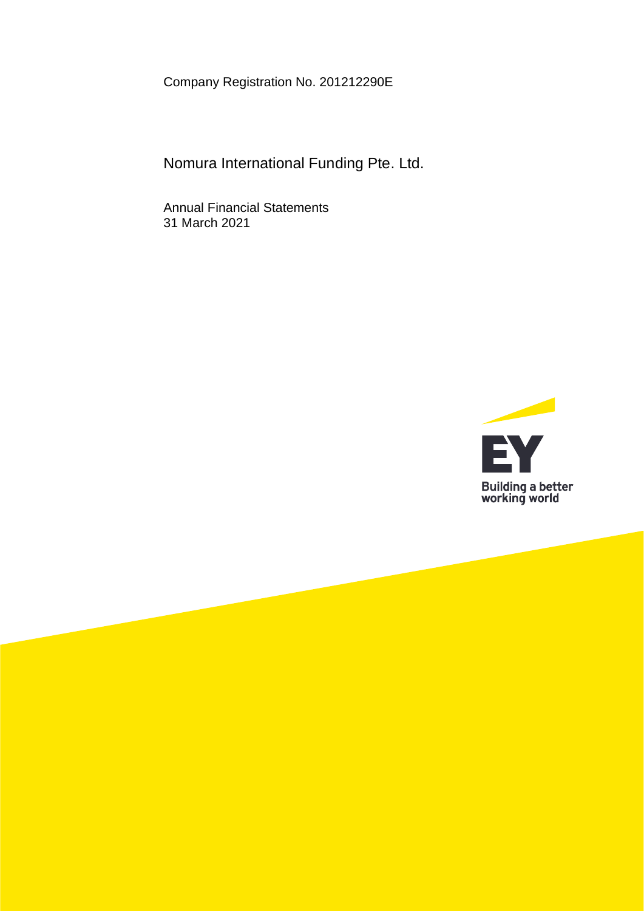Company Registration No. 201212290E

Nomura International Funding Pte. Ltd.

Annual Financial Statements 31 March 2021

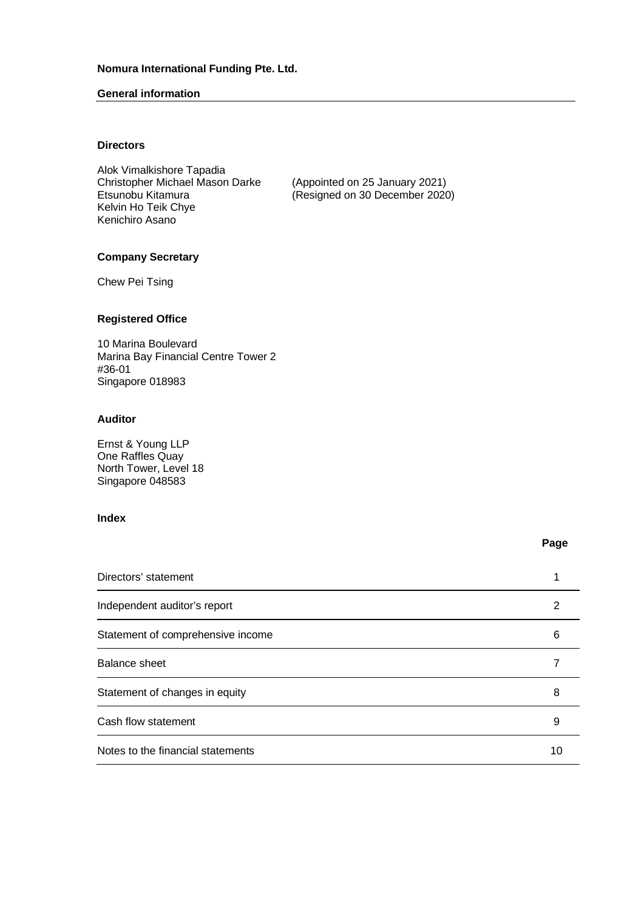### **General information**

### **Directors**

Alok Vimalkishore Tapadia Christopher Michael Mason Darke (Appointed on 25 January 2021)<br>Etsunobu Kitamura (Resigned on 30 December 2020 Kelvin Ho Teik Chye Kenichiro Asano

(Resigned on 30 December 2020)

# **Company Secretary**

Chew Pei Tsing

# **Registered Office**

10 Marina Boulevard Marina Bay Financial Centre Tower 2 #36-01 Singapore 018983

### **Auditor**

Ernst & Young LLP One Raffles Quay North Tower, Level 18 Singapore 048583

# **Index**

#### **Page**

| Directors' statement              |    |
|-----------------------------------|----|
| Independent auditor's report      | 2  |
| Statement of comprehensive income | 6  |
| <b>Balance sheet</b>              |    |
| Statement of changes in equity    | 8  |
| Cash flow statement               | 9  |
| Notes to the financial statements | 10 |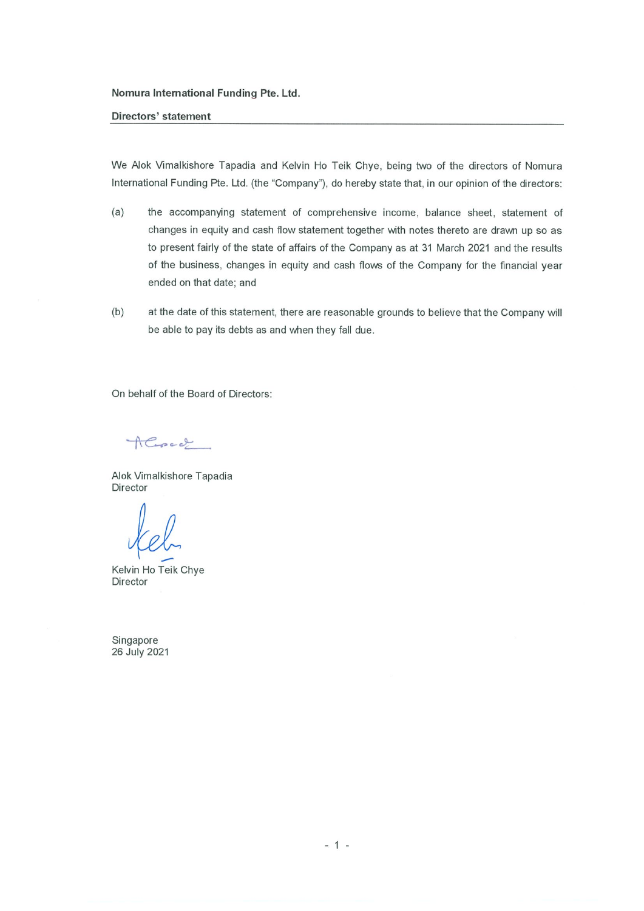Directors' statement

We Alok Vimalkishore Tapadia and Kelvin Ho Teik Chye, being two of the directors of Nomura International Funding Pte. Ltd. (the "Company"), do hereby state that, in our opinion of the directors:

- $(a)$ the accompanying statement of comprehensive income, balance sheet, statement of changes in equity and cash flow statement together with notes thereto are drawn up so as to present fairly of the state of affairs of the Company as at 31 March 2021 and the results of the business, changes in equity and cash flows of the Company for the financial year ended on that date; and
- $(b)$ at the date of this statement, there are reasonable grounds to believe that the Company will be able to pay its debts as and when they fall due.

On behalf of the Board of Directors:

Almad

Alok Vimalkishore Tapadia **Director** 

Kelvin Ho Teik Chye Director

Singapore 26 July 2021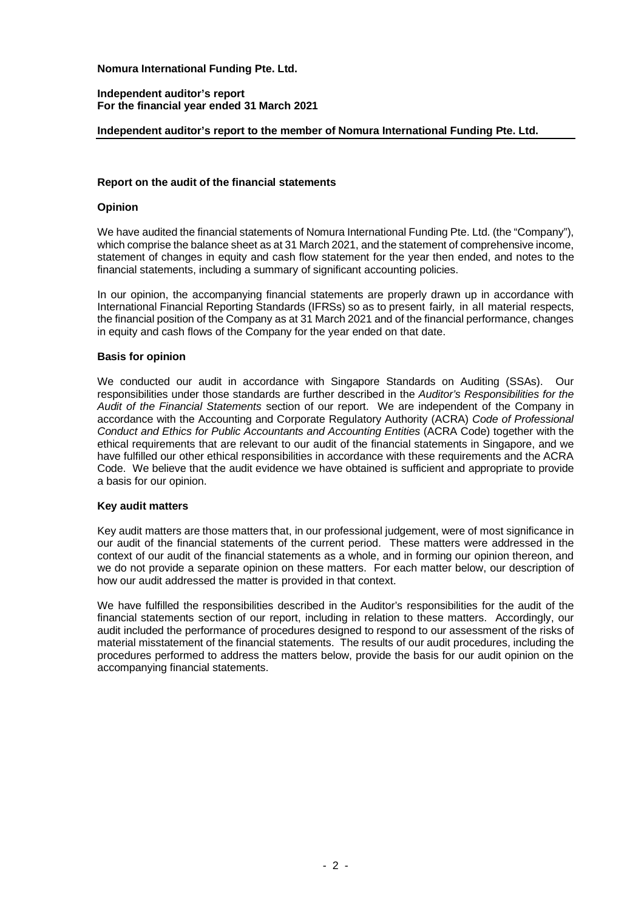### **Independent auditor's report For the financial year ended 31 March 2021**

# **Independent auditor's report to the member of Nomura International Funding Pte. Ltd.**

# **Report on the audit of the financial statements**

# **Opinion**

We have audited the financial statements of Nomura International Funding Pte. Ltd. (the "Company"), which comprise the balance sheet as at 31 March 2021, and the statement of comprehensive income, statement of changes in equity and cash flow statement for the year then ended, and notes to the financial statements, including a summary of significant accounting policies.

In our opinion, the accompanying financial statements are properly drawn up in accordance with International Financial Reporting Standards (IFRSs) so as to present fairly, in all material respects, the financial position of the Company as at 31 March 2021 and of the financial performance, changes in equity and cash flows of the Company for the year ended on that date.

# **Basis for opinion**

We conducted our audit in accordance with Singapore Standards on Auditing (SSAs). Our responsibilities under those standards are further described in the *Auditor's Responsibilities for the Audit of the Financial Statements* section of our report. We are independent of the Company in accordance with the Accounting and Corporate Regulatory Authority (ACRA) *Code of Professional Conduct and Ethics for Public Accountants and Accounting Entities* (ACRA Code) together with the ethical requirements that are relevant to our audit of the financial statements in Singapore, and we have fulfilled our other ethical responsibilities in accordance with these requirements and the ACRA Code. We believe that the audit evidence we have obtained is sufficient and appropriate to provide a basis for our opinion.

### **Key audit matters**

Key audit matters are those matters that, in our professional judgement, were of most significance in our audit of the financial statements of the current period. These matters were addressed in the context of our audit of the financial statements as a whole, and in forming our opinion thereon, and we do not provide a separate opinion on these matters. For each matter below, our description of how our audit addressed the matter is provided in that context.

We have fulfilled the responsibilities described in the Auditor's responsibilities for the audit of the financial statements section of our report, including in relation to these matters. Accordingly, our audit included the performance of procedures designed to respond to our assessment of the risks of material misstatement of the financial statements. The results of our audit procedures, including the procedures performed to address the matters below, provide the basis for our audit opinion on the accompanying financial statements.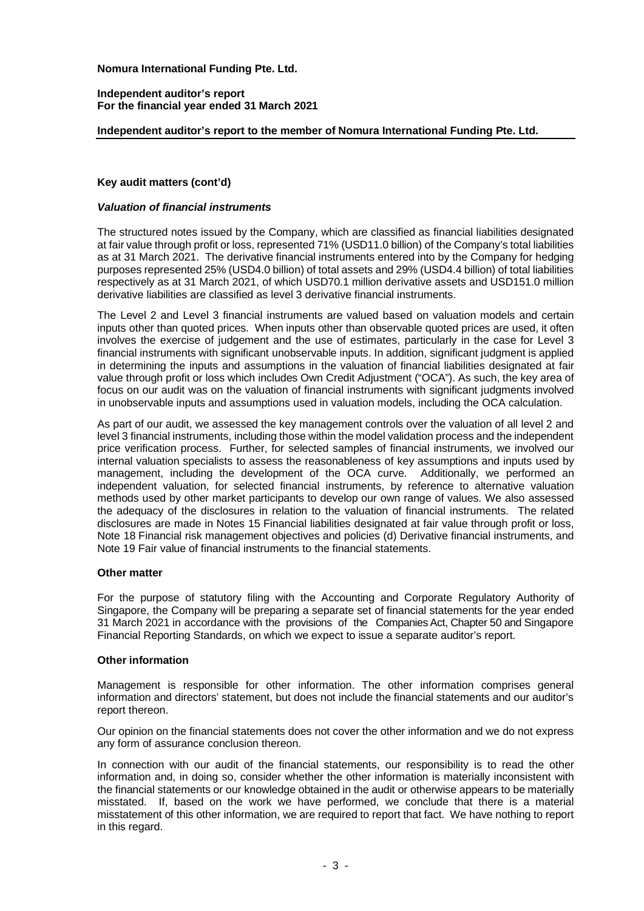### **Independent auditor's report For the financial year ended 31 March 2021**

# **Independent auditor's report to the member of Nomura International Funding Pte. Ltd.**

# **Key audit matters (cont'd)**

# *Valuation of financial instruments*

The structured notes issued by the Company, which are classified as financial liabilities designated at fair value through profit or loss, represented 71% (USD11.0 billion) of the Company's total liabilities as at 31 March 2021. The derivative financial instruments entered into by the Company for hedging purposes represented 25% (USD4.0 billion) of total assets and 29% (USD4.4 billion) of total liabilities respectively as at 31 March 2021, of which USD70.1 million derivative assets and USD151.0 million derivative liabilities are classified as level 3 derivative financial instruments.

The Level 2 and Level 3 financial instruments are valued based on valuation models and certain inputs other than quoted prices. When inputs other than observable quoted prices are used, it often involves the exercise of judgement and the use of estimates, particularly in the case for Level 3 financial instruments with significant unobservable inputs. In addition, significant judgment is applied in determining the inputs and assumptions in the valuation of financial liabilities designated at fair value through profit or loss which includes Own Credit Adjustment ("OCA"). As such, the key area of focus on our audit was on the valuation of financial instruments with significant judgments involved in unobservable inputs and assumptions used in valuation models, including the OCA calculation.

As part of our audit, we assessed the key management controls over the valuation of all level 2 and level 3 financial instruments, including those within the model validation process and the independent price verification process. Further, for selected samples of financial instruments, we involved our internal valuation specialists to assess the reasonableness of key assumptions and inputs used by management, including the development of the OCA curve. Additionally, we performed an independent valuation, for selected financial instruments, by reference to alternative valuation methods used by other market participants to develop our own range of values. We also assessed the adequacy of the disclosures in relation to the valuation of financial instruments. The related disclosures are made in Notes 15 Financial liabilities designated at fair value through profit or loss, Note 18 Financial risk management objectives and policies (d) Derivative financial instruments, and Note 19 Fair value of financial instruments to the financial statements.

### **Other matter**

For the purpose of statutory filing with the Accounting and Corporate Regulatory Authority of Singapore, the Company will be preparing a separate set of financial statements for the year ended 31 March 2021 in accordance with the provisions of the Companies Act, Chapter 50 and Singapore Financial Reporting Standards, on which we expect to issue a separate auditor's report.

### **Other information**

Management is responsible for other information. The other information comprises general information and directors' statement, but does not include the financial statements and our auditor's report thereon.

Our opinion on the financial statements does not cover the other information and we do not express any form of assurance conclusion thereon.

In connection with our audit of the financial statements, our responsibility is to read the other information and, in doing so, consider whether the other information is materially inconsistent with the financial statements or our knowledge obtained in the audit or otherwise appears to be materially misstated. If, based on the work we have performed, we conclude that there is a material misstatement of this other information, we are required to report that fact. We have nothing to report in this regard.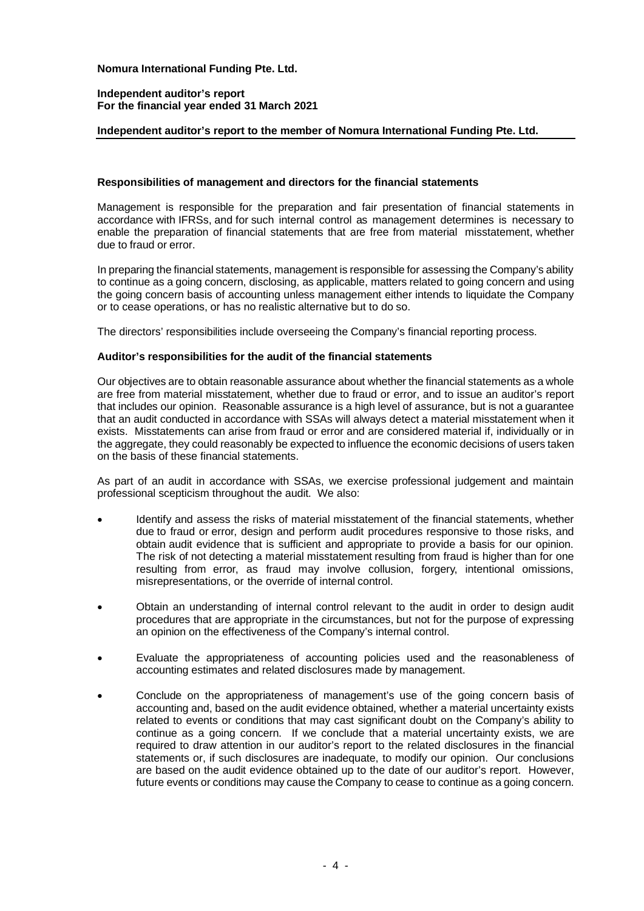### **Independent auditor's report For the financial year ended 31 March 2021**

# **Independent auditor's report to the member of Nomura International Funding Pte. Ltd.**

# **Responsibilities of management and directors for the financial statements**

Management is responsible for the preparation and fair presentation of financial statements in accordance with IFRSs, and for such internal control as management determines is necessary to enable the preparation of financial statements that are free from material misstatement, whether due to fraud or error.

In preparing the financial statements, management is responsible for assessing the Company's ability to continue as a going concern, disclosing, as applicable, matters related to going concern and using the going concern basis of accounting unless management either intends to liquidate the Company or to cease operations, or has no realistic alternative but to do so.

The directors' responsibilities include overseeing the Company's financial reporting process.

### **Auditor's responsibilities for the audit of the financial statements**

Our objectives are to obtain reasonable assurance about whether the financial statements as a whole are free from material misstatement, whether due to fraud or error, and to issue an auditor's report that includes our opinion. Reasonable assurance is a high level of assurance, but is not a guarantee that an audit conducted in accordance with SSAs will always detect a material misstatement when it exists. Misstatements can arise from fraud or error and are considered material if, individually or in the aggregate, they could reasonably be expected to influence the economic decisions of users taken on the basis of these financial statements.

As part of an audit in accordance with SSAs, we exercise professional judgement and maintain professional scepticism throughout the audit. We also:

- Identify and assess the risks of material misstatement of the financial statements, whether due to fraud or error, design and perform audit procedures responsive to those risks, and obtain audit evidence that is sufficient and appropriate to provide a basis for our opinion. The risk of not detecting a material misstatement resulting from fraud is higher than for one resulting from error, as fraud may involve collusion, forgery, intentional omissions, misrepresentations, or the override of internal control.
- · Obtain an understanding of internal control relevant to the audit in order to design audit procedures that are appropriate in the circumstances, but not for the purpose of expressing an opinion on the effectiveness of the Company's internal control.
- · Evaluate the appropriateness of accounting policies used and the reasonableness of accounting estimates and related disclosures made by management.
- · Conclude on the appropriateness of management's use of the going concern basis of accounting and, based on the audit evidence obtained, whether a material uncertainty exists related to events or conditions that may cast significant doubt on the Company's ability to continue as a going concern. If we conclude that a material uncertainty exists, we are required to draw attention in our auditor's report to the related disclosures in the financial statements or, if such disclosures are inadequate, to modify our opinion. Our conclusions are based on the audit evidence obtained up to the date of our auditor's report. However, future events or conditions may cause the Company to cease to continue as a going concern.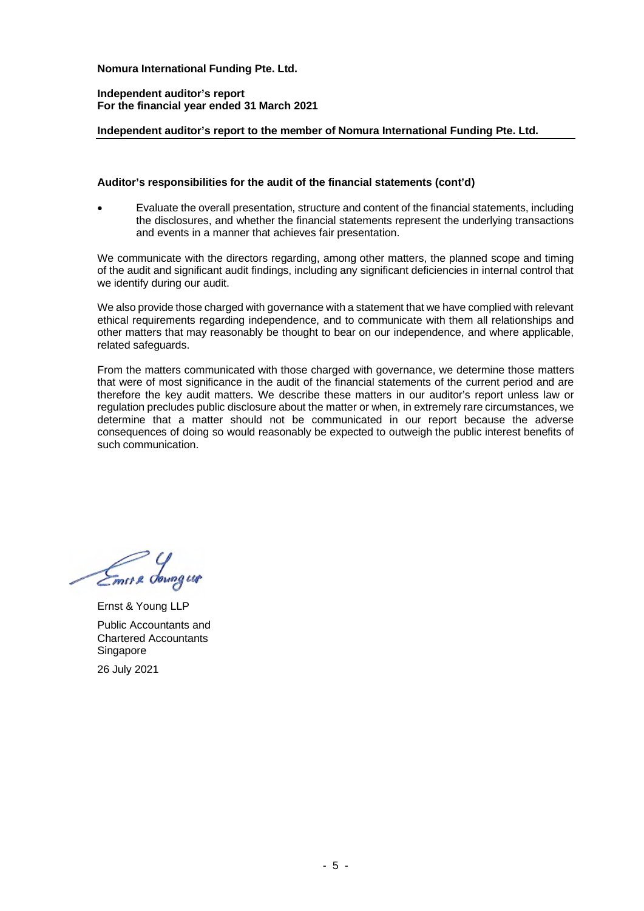### **Independent auditor's report For the financial year ended 31 March 2021**

### **Independent auditor's report to the member of Nomura International Funding Pte. Ltd.**

### **Auditor's responsibilities for the audit of the financial statements (cont'd)**

· Evaluate the overall presentation, structure and content of the financial statements, including the disclosures, and whether the financial statements represent the underlying transactions and events in a manner that achieves fair presentation.

We communicate with the directors regarding, among other matters, the planned scope and timing of the audit and significant audit findings, including any significant deficiencies in internal control that we identify during our audit.

We also provide those charged with governance with a statement that we have complied with relevant ethical requirements regarding independence, and to communicate with them all relationships and other matters that may reasonably be thought to bear on our independence, and where applicable, related safeguards.

From the matters communicated with those charged with governance, we determine those matters that were of most significance in the audit of the financial statements of the current period and are therefore the key audit matters. We describe these matters in our auditor's report unless law or regulation precludes public disclosure about the matter or when, in extremely rare circumstances, we determine that a matter should not be communicated in our report because the adverse consequences of doing so would reasonably be expected to outweigh the public interest benefits of such communication.

Emere dounger

Ernst & Young LLP Public Accountants and Chartered Accountants Singapore

26 July 2021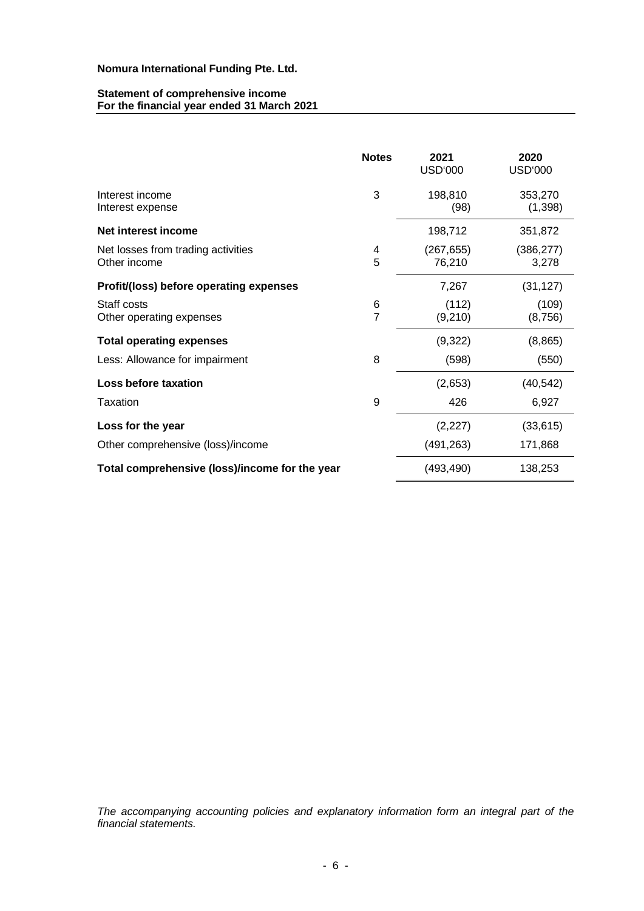#### **Statement of comprehensive income For the financial year ended 31 March 2021**

|                                                    | <b>Notes</b>  | 2021<br><b>USD'000</b> | 2020<br><b>USD'000</b> |
|----------------------------------------------------|---------------|------------------------|------------------------|
| Interest income<br>Interest expense                | 3             | 198,810<br>(98)        | 353,270<br>(1,398)     |
| Net interest income                                |               | 198,712                | 351,872                |
| Net losses from trading activities<br>Other income | 4<br>5        | (267, 655)<br>76,210   | (386, 277)<br>3,278    |
| Profit/(loss) before operating expenses            |               | 7,267                  | (31, 127)              |
| Staff costs<br>Other operating expenses            | $\frac{6}{7}$ | (112)<br>(9,210)       | (109)<br>(8,756)       |
| <b>Total operating expenses</b>                    |               | (9,322)                | (8, 865)               |
| Less: Allowance for impairment                     | 8             | (598)                  | (550)                  |
| Loss before taxation                               |               | (2,653)                | (40, 542)              |
| Taxation                                           | 9             | 426                    | 6,927                  |
| Loss for the year                                  |               | (2, 227)               | (33, 615)              |
| Other comprehensive (loss)/income                  |               | (491, 263)             | 171,868                |
| Total comprehensive (loss)/income for the year     |               | (493, 490)             | 138,253                |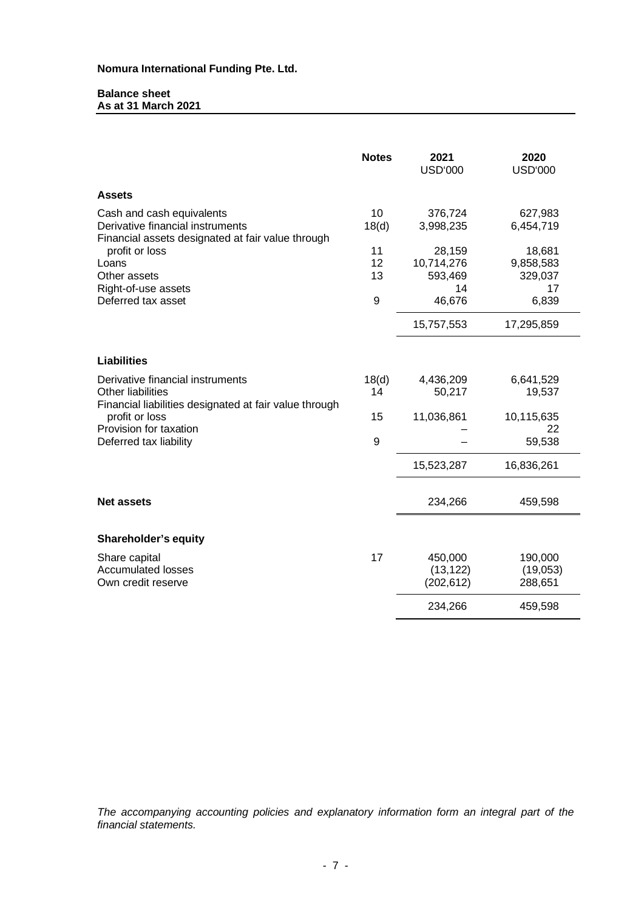### **Balance sheet As at 31 March 2021**

|                                                                                                                    | <b>Notes</b>   | 2021<br><b>USD'000</b>             | 2020<br><b>USD'000</b>         |
|--------------------------------------------------------------------------------------------------------------------|----------------|------------------------------------|--------------------------------|
| <b>Assets</b>                                                                                                      |                |                                    |                                |
| Cash and cash equivalents<br>Derivative financial instruments<br>Financial assets designated at fair value through | 10<br>18(d)    | 376,724<br>3,998,235               | 627,983<br>6,454,719           |
| profit or loss<br>Loans<br>Other assets                                                                            | 11<br>12<br>13 | 28,159<br>10,714,276<br>593,469    | 18,681<br>9,858,583<br>329,037 |
| Right-of-use assets<br>Deferred tax asset                                                                          | 9              | 14<br>46,676                       | 17<br>6,839                    |
|                                                                                                                    |                | 15,757,553                         | 17,295,859                     |
| <b>Liabilities</b>                                                                                                 |                |                                    |                                |
| Derivative financial instruments<br>Other liabilities<br>Financial liabilities designated at fair value through    | 18(d)<br>14    | 4,436,209<br>50,217                | 6,641,529<br>19,537            |
| profit or loss<br>Provision for taxation                                                                           | 15             | 11,036,861                         | 10,115,635<br>22               |
| Deferred tax liability                                                                                             | 9              |                                    | 59,538                         |
|                                                                                                                    |                | 15,523,287                         | 16,836,261                     |
| <b>Net assets</b>                                                                                                  |                | 234,266                            | 459,598                        |
| Shareholder's equity                                                                                               |                |                                    |                                |
| Share capital<br><b>Accumulated losses</b><br>Own credit reserve                                                   | 17             | 450,000<br>(13, 122)<br>(202, 612) | 190,000<br>(19,053)<br>288,651 |
|                                                                                                                    |                | 234,266                            | 459,598                        |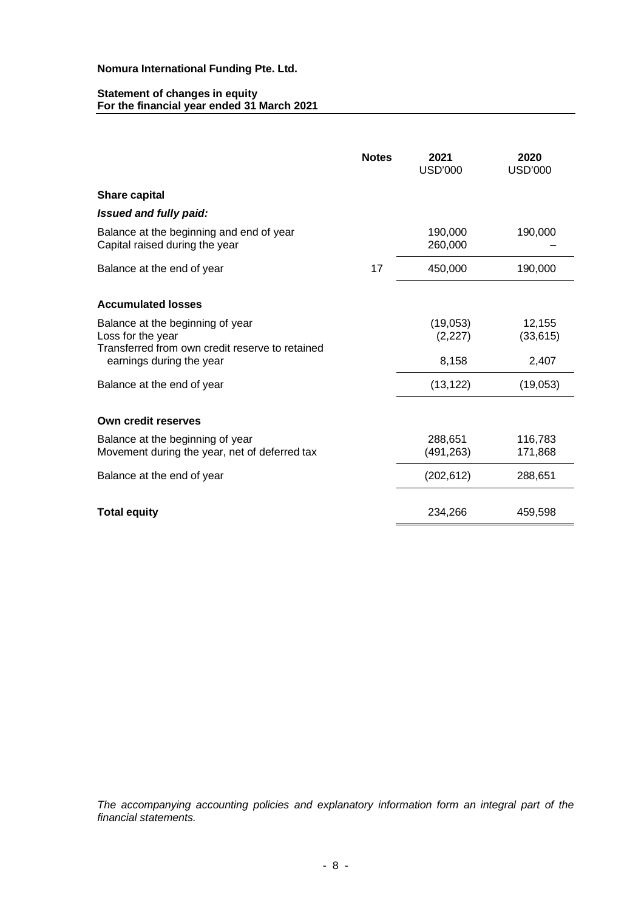### **Statement of changes in equity For the financial year ended 31 March 2021**

|                                                                                                          | <b>Notes</b> | 2021<br>USD'000       | 2020<br><b>USD'000</b> |
|----------------------------------------------------------------------------------------------------------|--------------|-----------------------|------------------------|
| <b>Share capital</b>                                                                                     |              |                       |                        |
| Issued and fully paid:                                                                                   |              |                       |                        |
| Balance at the beginning and end of year<br>Capital raised during the year                               |              | 190,000<br>260,000    | 190,000                |
| Balance at the end of year                                                                               | 17           | 450,000               | 190,000                |
| <b>Accumulated losses</b>                                                                                |              |                       |                        |
| Balance at the beginning of year<br>Loss for the year<br>Transferred from own credit reserve to retained |              | (19,053)<br>(2, 227)  | 12,155<br>(33, 615)    |
| earnings during the year                                                                                 |              | 8,158                 | 2,407                  |
| Balance at the end of year                                                                               |              | (13, 122)             | (19,053)               |
| Own credit reserves                                                                                      |              |                       |                        |
| Balance at the beginning of year<br>Movement during the year, net of deferred tax                        |              | 288,651<br>(491, 263) | 116,783<br>171,868     |
| Balance at the end of year                                                                               |              | (202, 612)            | 288,651                |
| <b>Total equity</b>                                                                                      |              | 234,266               | 459,598                |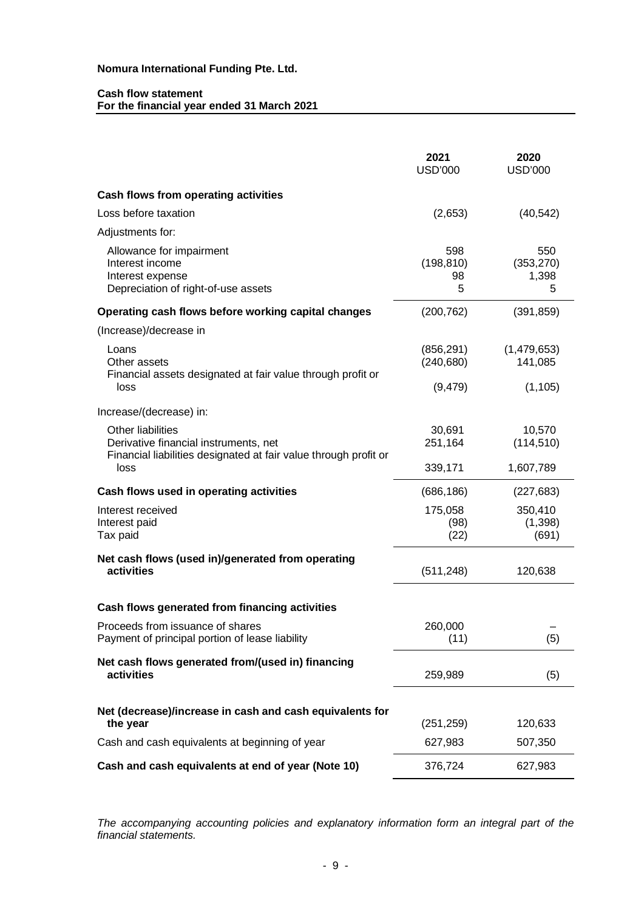# **Cash flow statement For the financial year ended 31 March 2021**

|                                                                                                                                               | 2021<br><b>USD'000</b>       | 2020<br><b>USD'000</b>          |
|-----------------------------------------------------------------------------------------------------------------------------------------------|------------------------------|---------------------------------|
| <b>Cash flows from operating activities</b>                                                                                                   |                              |                                 |
| Loss before taxation                                                                                                                          | (2,653)                      | (40, 542)                       |
| Adjustments for:                                                                                                                              |                              |                                 |
| Allowance for impairment<br>Interest income<br>Interest expense<br>Depreciation of right-of-use assets                                        | 598<br>(198, 810)<br>98<br>5 | 550<br>(353, 270)<br>1,398<br>5 |
| Operating cash flows before working capital changes                                                                                           | (200, 762)                   | (391, 859)                      |
| (Increase)/decrease in                                                                                                                        |                              |                                 |
| Loans<br>Other assets<br>Financial assets designated at fair value through profit or                                                          | (856, 291)<br>(240, 680)     | (1,479,653)<br>141,085          |
| loss                                                                                                                                          | (9, 479)                     | (1, 105)                        |
| Increase/(decrease) in:                                                                                                                       |                              |                                 |
| <b>Other liabilities</b><br>Derivative financial instruments, net<br>Financial liabilities designated at fair value through profit or<br>loss | 30,691<br>251,164            | 10,570<br>(114, 510)            |
|                                                                                                                                               | 339,171                      | 1,607,789                       |
| Cash flows used in operating activities                                                                                                       | (686, 186)                   | (227, 683)                      |
| Interest received<br>Interest paid<br>Tax paid                                                                                                | 175,058<br>(98)<br>(22)      | 350,410<br>(1,398)<br>(691)     |
| Net cash flows (used in)/generated from operating                                                                                             |                              |                                 |
| activities                                                                                                                                    | (511, 248)                   | 120,638                         |
| Cash flows generated from financing activities                                                                                                |                              |                                 |
| Proceeds from issuance of shares<br>Payment of principal portion of lease liability                                                           | 260,000<br>(11)              | (5)                             |
| Net cash flows generated from/(used in) financing<br>activities                                                                               | 259,989                      | (5)                             |
| Net (decrease)/increase in cash and cash equivalents for<br>the year                                                                          | (251, 259)                   | 120,633                         |
| Cash and cash equivalents at beginning of year                                                                                                | 627,983                      | 507,350                         |
| Cash and cash equivalents at end of year (Note 10)                                                                                            | 376,724                      | 627,983                         |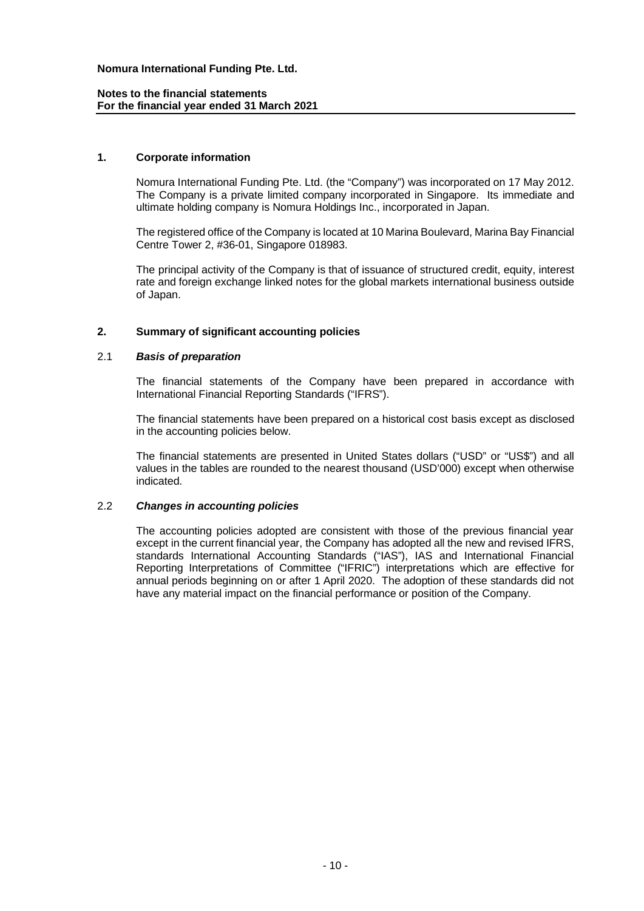# **1. Corporate information**

Nomura International Funding Pte. Ltd. (the "Company") was incorporated on 17 May 2012. The Company is a private limited company incorporated in Singapore. Its immediate and ultimate holding company is Nomura Holdings Inc., incorporated in Japan.

The registered office of the Company is located at 10 Marina Boulevard, Marina Bay Financial Centre Tower 2, #36-01, Singapore 018983.

The principal activity of the Company is that of issuance of structured credit, equity, interest rate and foreign exchange linked notes for the global markets international business outside of Japan.

# **2. Summary of significant accounting policies**

### 2.1 *Basis of preparation*

The financial statements of the Company have been prepared in accordance with International Financial Reporting Standards ("IFRS").

The financial statements have been prepared on a historical cost basis except as disclosed in the accounting policies below.

The financial statements are presented in United States dollars ("USD" or "US\$") and all values in the tables are rounded to the nearest thousand (USD'000) except when otherwise indicated.

### 2.2 *Changes in accounting policies*

The accounting policies adopted are consistent with those of the previous financial year except in the current financial year, the Company has adopted all the new and revised IFRS, standards International Accounting Standards ("IAS"), IAS and International Financial Reporting Interpretations of Committee ("IFRIC") interpretations which are effective for annual periods beginning on or after 1 April 2020. The adoption of these standards did not have any material impact on the financial performance or position of the Company.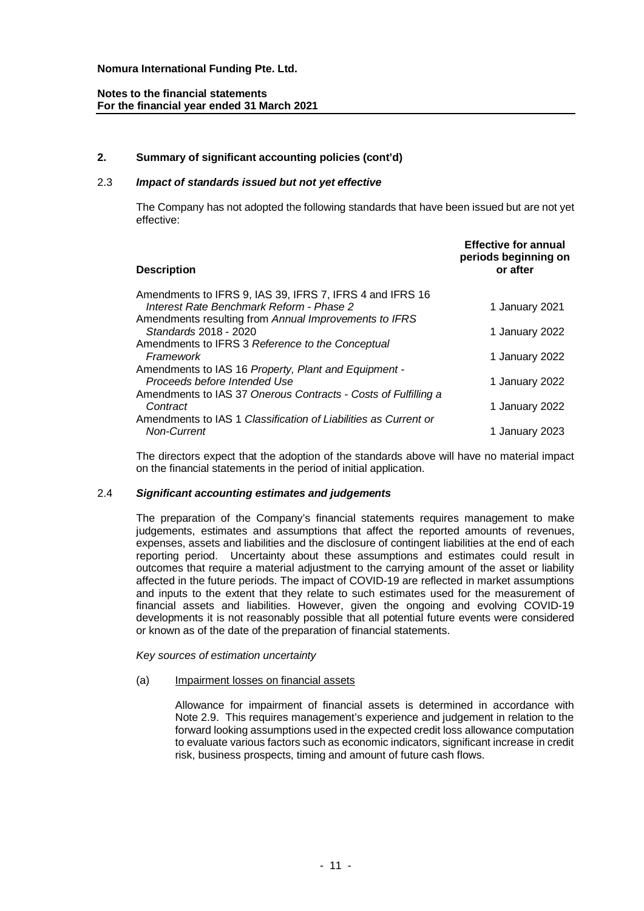# **2. Summary of significant accounting policies (cont'd)**

# 2.3 *Impact of standards issued but not yet effective*

The Company has not adopted the following standards that have been issued but are not yet effective:

| <b>Description</b>                                                                                   | <b>Effective for annual</b><br>periods beginning on<br>or after |
|------------------------------------------------------------------------------------------------------|-----------------------------------------------------------------|
| Amendments to IFRS 9, IAS 39, IFRS 7, IFRS 4 and IFRS 16<br>Interest Rate Benchmark Reform - Phase 2 | 1 January 2021                                                  |
| Amendments resulting from Annual Improvements to IFRS                                                |                                                                 |
| Standards 2018 - 2020                                                                                | 1 January 2022                                                  |
| Amendments to IFRS 3 Reference to the Conceptual                                                     |                                                                 |
| Framework                                                                                            | 1 January 2022                                                  |
| Amendments to IAS 16 Property, Plant and Equipment -                                                 |                                                                 |
| Proceeds before Intended Use                                                                         | 1 January 2022                                                  |
| Amendments to IAS 37 Onerous Contracts - Costs of Fulfilling a                                       |                                                                 |
| Contract                                                                                             | 1 January 2022                                                  |
| Amendments to IAS 1 Classification of Liabilities as Current or                                      |                                                                 |
| <b>Non-Current</b>                                                                                   | 1 January 2023                                                  |

The directors expect that the adoption of the standards above will have no material impact on the financial statements in the period of initial application.

### 2.4 *Significant accounting estimates and judgements*

The preparation of the Company's financial statements requires management to make judgements, estimates and assumptions that affect the reported amounts of revenues, expenses, assets and liabilities and the disclosure of contingent liabilities at the end of each reporting period. Uncertainty about these assumptions and estimates could result in outcomes that require a material adjustment to the carrying amount of the asset or liability affected in the future periods. The impact of COVID-19 are reflected in market assumptions and inputs to the extent that they relate to such estimates used for the measurement of financial assets and liabilities. However, given the ongoing and evolving COVID-19 developments it is not reasonably possible that all potential future events were considered or known as of the date of the preparation of financial statements.

*Key sources of estimation uncertainty*

#### (a) Impairment losses on financial assets

Allowance for impairment of financial assets is determined in accordance with Note 2.9. This requires management's experience and judgement in relation to the forward looking assumptions used in the expected credit loss allowance computation to evaluate various factors such as economic indicators, significant increase in credit risk, business prospects, timing and amount of future cash flows.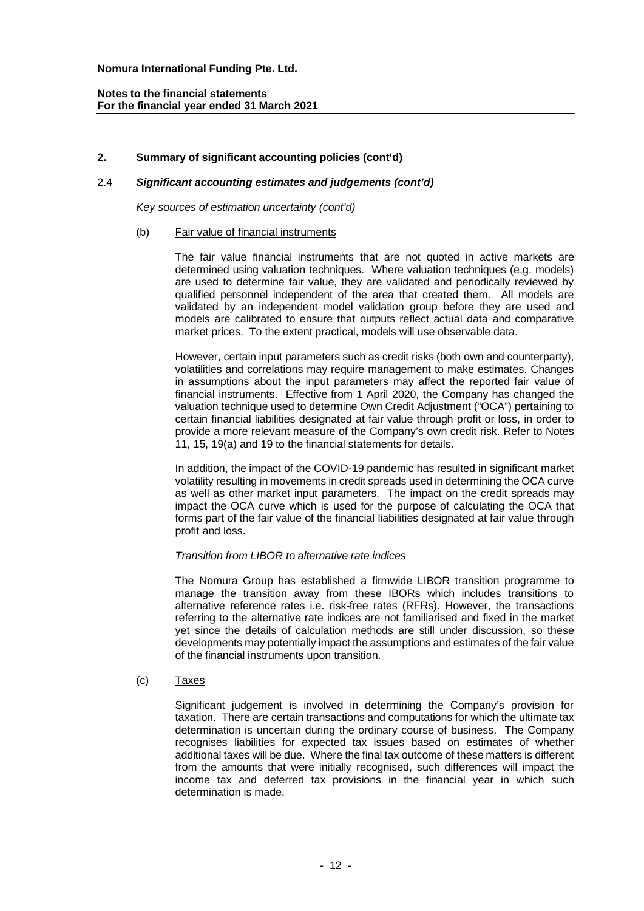# **2. Summary of significant accounting policies (cont'd)**

# 2.4 *Significant accounting estimates and judgements (cont'd)*

*Key sources of estimation uncertainty (cont'd)*

### (b) Fair value of financial instruments

The fair value financial instruments that are not quoted in active markets are determined using valuation techniques. Where valuation techniques (e.g. models) are used to determine fair value, they are validated and periodically reviewed by qualified personnel independent of the area that created them. All models are validated by an independent model validation group before they are used and models are calibrated to ensure that outputs reflect actual data and comparative market prices. To the extent practical, models will use observable data.

However, certain input parameters such as credit risks (both own and counterparty), volatilities and correlations may require management to make estimates. Changes in assumptions about the input parameters may affect the reported fair value of financial instruments. Effective from 1 April 2020, the Company has changed the valuation technique used to determine Own Credit Adjustment ("OCA") pertaining to certain financial liabilities designated at fair value through profit or loss, in order to provide a more relevant measure of the Company's own credit risk. Refer to Notes 11, 15, 19(a) and 19 to the financial statements for details.

In addition, the impact of the COVID-19 pandemic has resulted in significant market volatility resulting in movements in credit spreads used in determining the OCA curve as well as other market input parameters. The impact on the credit spreads may impact the OCA curve which is used for the purpose of calculating the OCA that forms part of the fair value of the financial liabilities designated at fair value through profit and loss.

### *Transition from LIBOR to alternative rate indices*

The Nomura Group has established a firmwide LIBOR transition programme to manage the transition away from these IBORs which includes transitions to alternative reference rates i.e. risk-free rates (RFRs). However, the transactions referring to the alternative rate indices are not familiarised and fixed in the market yet since the details of calculation methods are still under discussion, so these developments may potentially impact the assumptions and estimates of the fair value of the financial instruments upon transition.

### (c) Taxes

Significant judgement is involved in determining the Company's provision for taxation. There are certain transactions and computations for which the ultimate tax determination is uncertain during the ordinary course of business. The Company recognises liabilities for expected tax issues based on estimates of whether additional taxes will be due. Where the final tax outcome of these matters is different from the amounts that were initially recognised, such differences will impact the income tax and deferred tax provisions in the financial year in which such determination is made.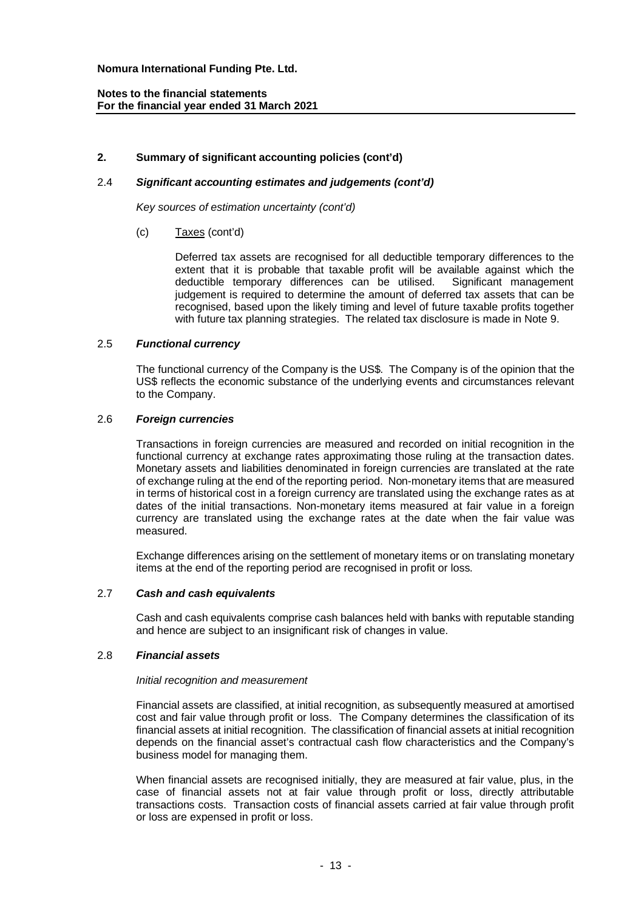# **2. Summary of significant accounting policies (cont'd)**

# 2.4 *Significant accounting estimates and judgements (cont'd)*

*Key sources of estimation uncertainty (cont'd)*

(c) Taxes (cont'd)

Deferred tax assets are recognised for all deductible temporary differences to the extent that it is probable that taxable profit will be available against which the deductible temporary differences can be utilised. Significant management judgement is required to determine the amount of deferred tax assets that can be recognised, based upon the likely timing and level of future taxable profits together with future tax planning strategies. The related tax disclosure is made in Note 9.

### 2.5 *Functional currency*

The functional currency of the Company is the US\$. The Company is of the opinion that the US\$ reflects the economic substance of the underlying events and circumstances relevant to the Company.

### 2.6 *Foreign currencies*

Transactions in foreign currencies are measured and recorded on initial recognition in the functional currency at exchange rates approximating those ruling at the transaction dates. Monetary assets and liabilities denominated in foreign currencies are translated at the rate of exchange ruling at the end of the reporting period. Non-monetary items that are measured in terms of historical cost in a foreign currency are translated using the exchange rates as at dates of the initial transactions. Non-monetary items measured at fair value in a foreign currency are translated using the exchange rates at the date when the fair value was measured.

Exchange differences arising on the settlement of monetary items or on translating monetary items at the end of the reporting period are recognised in profit or loss.

### 2.7 *Cash and cash equivalents*

Cash and cash equivalents comprise cash balances held with banks with reputable standing and hence are subject to an insignificant risk of changes in value.

# 2.8 *Financial assets*

### *Initial recognition and measurement*

Financial assets are classified, at initial recognition, as subsequently measured at amortised cost and fair value through profit or loss. The Company determines the classification of its financial assets at initial recognition. The classification of financial assets at initial recognition depends on the financial asset's contractual cash flow characteristics and the Company's business model for managing them.

When financial assets are recognised initially, they are measured at fair value, plus, in the case of financial assets not at fair value through profit or loss, directly attributable transactions costs. Transaction costs of financial assets carried at fair value through profit or loss are expensed in profit or loss.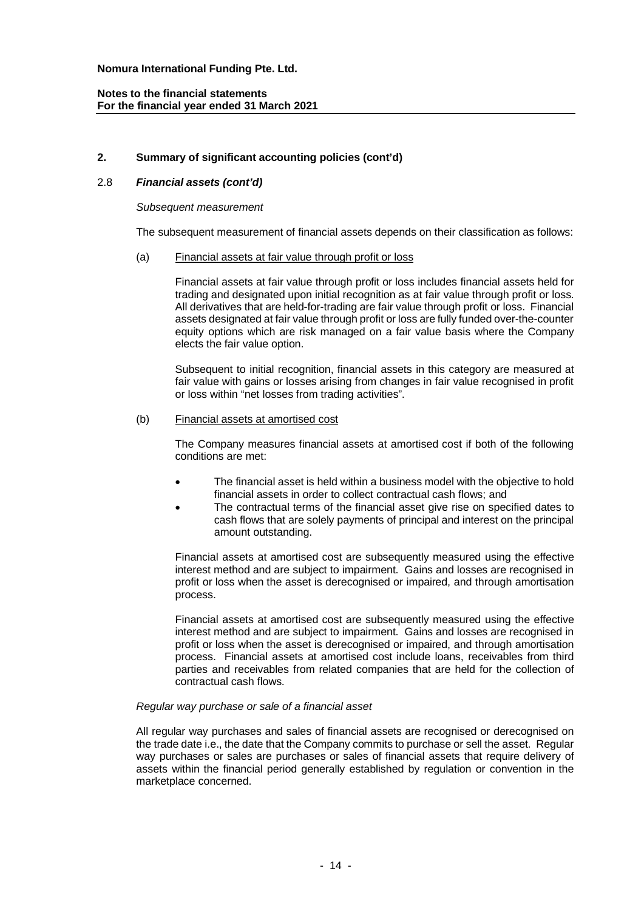# **2. Summary of significant accounting policies (cont'd)**

# 2.8 *Financial assets (cont'd)*

#### *Subsequent measurement*

The subsequent measurement of financial assets depends on their classification as follows:

#### (a) Financial assets at fair value through profit or loss

Financial assets at fair value through profit or loss includes financial assets held for trading and designated upon initial recognition as at fair value through profit or loss. All derivatives that are held-for-trading are fair value through profit or loss. Financial assets designated at fair value through profit or loss are fully funded over-the-counter equity options which are risk managed on a fair value basis where the Company elects the fair value option.

Subsequent to initial recognition, financial assets in this category are measured at fair value with gains or losses arising from changes in fair value recognised in profit or loss within "net losses from trading activities".

#### (b) Financial assets at amortised cost

The Company measures financial assets at amortised cost if both of the following conditions are met:

- The financial asset is held within a business model with the objective to hold financial assets in order to collect contractual cash flows; and
- The contractual terms of the financial asset give rise on specified dates to cash flows that are solely payments of principal and interest on the principal amount outstanding.

Financial assets at amortised cost are subsequently measured using the effective interest method and are subject to impairment. Gains and losses are recognised in profit or loss when the asset is derecognised or impaired, and through amortisation process.

Financial assets at amortised cost are subsequently measured using the effective interest method and are subject to impairment. Gains and losses are recognised in profit or loss when the asset is derecognised or impaired, and through amortisation process. Financial assets at amortised cost include loans, receivables from third parties and receivables from related companies that are held for the collection of contractual cash flows.

### *Regular way purchase or sale of a financial asset*

All regular way purchases and sales of financial assets are recognised or derecognised on the trade date i.e., the date that the Company commits to purchase or sell the asset. Regular way purchases or sales are purchases or sales of financial assets that require delivery of assets within the financial period generally established by regulation or convention in the marketplace concerned.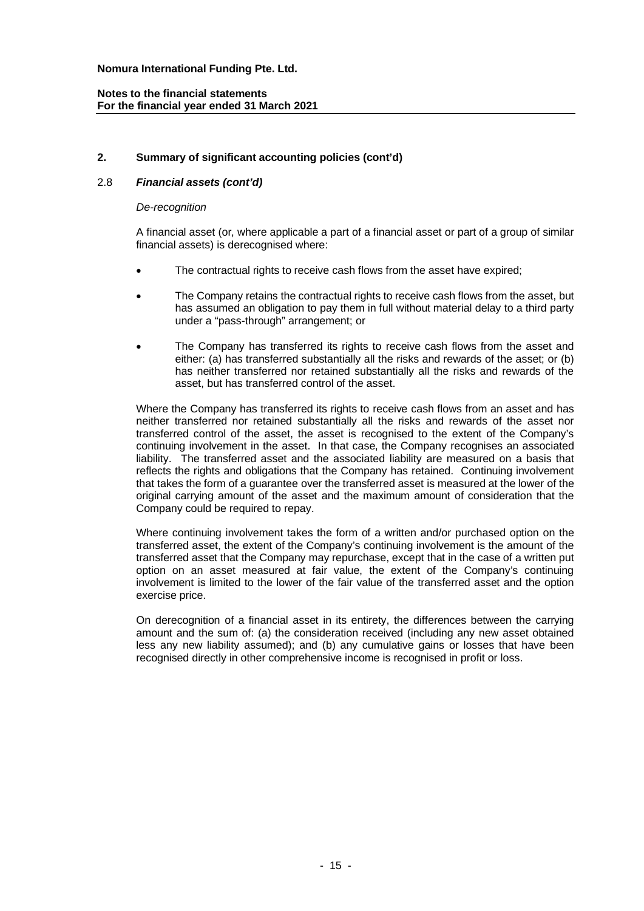# **2. Summary of significant accounting policies (cont'd)**

# 2.8 *Financial assets (cont'd)*

### *De-recognition*

A financial asset (or, where applicable a part of a financial asset or part of a group of similar financial assets) is derecognised where:

- The contractual rights to receive cash flows from the asset have expired;
- The Company retains the contractual rights to receive cash flows from the asset, but has assumed an obligation to pay them in full without material delay to a third party under a "pass-through" arrangement; or
- The Company has transferred its rights to receive cash flows from the asset and either: (a) has transferred substantially all the risks and rewards of the asset; or (b) has neither transferred nor retained substantially all the risks and rewards of the asset, but has transferred control of the asset.

Where the Company has transferred its rights to receive cash flows from an asset and has neither transferred nor retained substantially all the risks and rewards of the asset nor transferred control of the asset, the asset is recognised to the extent of the Company's continuing involvement in the asset. In that case, the Company recognises an associated liability. The transferred asset and the associated liability are measured on a basis that reflects the rights and obligations that the Company has retained. Continuing involvement that takes the form of a guarantee over the transferred asset is measured at the lower of the original carrying amount of the asset and the maximum amount of consideration that the Company could be required to repay.

Where continuing involvement takes the form of a written and/or purchased option on the transferred asset, the extent of the Company's continuing involvement is the amount of the transferred asset that the Company may repurchase, except that in the case of a written put option on an asset measured at fair value, the extent of the Company's continuing involvement is limited to the lower of the fair value of the transferred asset and the option exercise price.

On derecognition of a financial asset in its entirety, the differences between the carrying amount and the sum of: (a) the consideration received (including any new asset obtained less any new liability assumed); and (b) any cumulative gains or losses that have been recognised directly in other comprehensive income is recognised in profit or loss.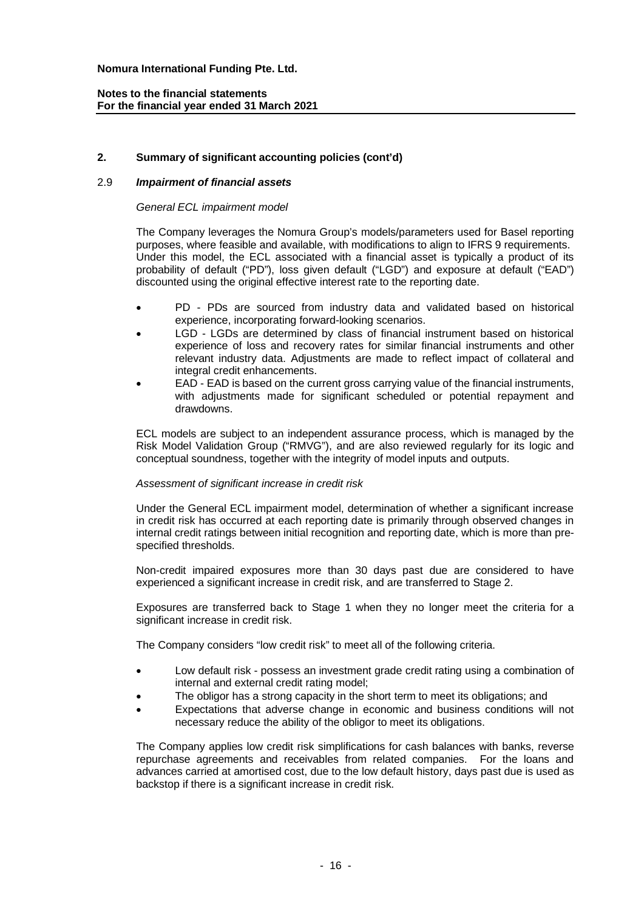# **2. Summary of significant accounting policies (cont'd)**

# 2.9 *Impairment of financial assets*

#### *General ECL impairment model*

The Company leverages the Nomura Group's models/parameters used for Basel reporting purposes, where feasible and available, with modifications to align to IFRS 9 requirements. Under this model, the ECL associated with a financial asset is typically a product of its probability of default ("PD"), loss given default ("LGD") and exposure at default ("EAD") discounted using the original effective interest rate to the reporting date.

- PD PDs are sourced from industry data and validated based on historical experience, incorporating forward-looking scenarios.
- LGD LGDs are determined by class of financial instrument based on historical experience of loss and recovery rates for similar financial instruments and other relevant industry data. Adjustments are made to reflect impact of collateral and integral credit enhancements.
- EAD EAD is based on the current gross carrying value of the financial instruments, with adjustments made for significant scheduled or potential repayment and drawdowns.

ECL models are subject to an independent assurance process, which is managed by the Risk Model Validation Group ("RMVG"), and are also reviewed regularly for its logic and conceptual soundness, together with the integrity of model inputs and outputs.

### *Assessment of significant increase in credit risk*

Under the General ECL impairment model, determination of whether a significant increase in credit risk has occurred at each reporting date is primarily through observed changes in internal credit ratings between initial recognition and reporting date, which is more than prespecified thresholds.

Non-credit impaired exposures more than 30 days past due are considered to have experienced a significant increase in credit risk, and are transferred to Stage 2.

Exposures are transferred back to Stage 1 when they no longer meet the criteria for a significant increase in credit risk.

The Company considers "low credit risk" to meet all of the following criteria.

- Low default risk possess an investment grade credit rating using a combination of internal and external credit rating model;
- The obligor has a strong capacity in the short term to meet its obligations; and
- Expectations that adverse change in economic and business conditions will not necessary reduce the ability of the obligor to meet its obligations.

The Company applies low credit risk simplifications for cash balances with banks, reverse repurchase agreements and receivables from related companies. For the loans and advances carried at amortised cost, due to the low default history, days past due is used as backstop if there is a significant increase in credit risk.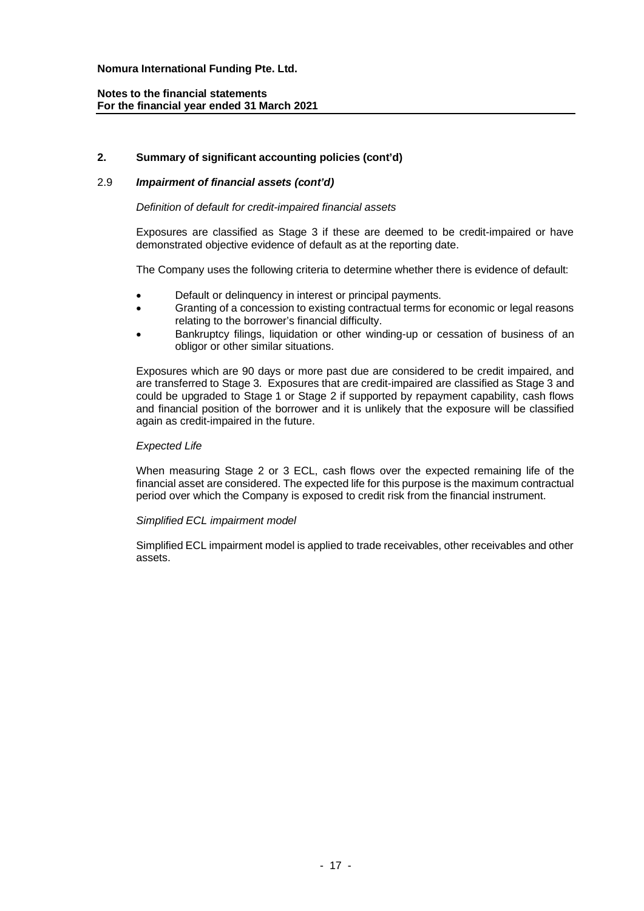# **2. Summary of significant accounting policies (cont'd)**

# 2.9 *Impairment of financial assets (cont'd)*

*Definition of default for credit-impaired financial assets*

Exposures are classified as Stage 3 if these are deemed to be credit-impaired or have demonstrated objective evidence of default as at the reporting date.

The Company uses the following criteria to determine whether there is evidence of default:

- Default or delinquency in interest or principal payments.
- Granting of a concession to existing contractual terms for economic or legal reasons relating to the borrower's financial difficulty.
- Bankruptcy filings, liquidation or other winding-up or cessation of business of an obligor or other similar situations.

Exposures which are 90 days or more past due are considered to be credit impaired, and are transferred to Stage 3. Exposures that are credit-impaired are classified as Stage 3 and could be upgraded to Stage 1 or Stage 2 if supported by repayment capability, cash flows and financial position of the borrower and it is unlikely that the exposure will be classified again as credit-impaired in the future.

### *Expected Life*

When measuring Stage 2 or 3 ECL, cash flows over the expected remaining life of the financial asset are considered. The expected life for this purpose is the maximum contractual period over which the Company is exposed to credit risk from the financial instrument.

### *Simplified ECL impairment model*

Simplified ECL impairment model is applied to trade receivables, other receivables and other assets.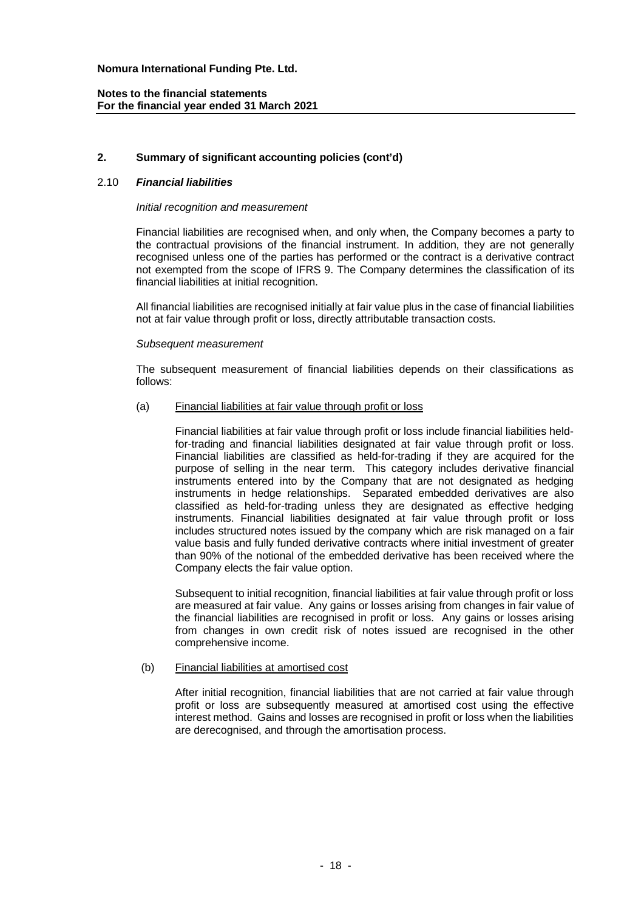# **2. Summary of significant accounting policies (cont'd)**

### 2.10 *Financial liabilities*

### *Initial recognition and measurement*

Financial liabilities are recognised when, and only when, the Company becomes a party to the contractual provisions of the financial instrument. In addition, they are not generally recognised unless one of the parties has performed or the contract is a derivative contract not exempted from the scope of IFRS 9. The Company determines the classification of its financial liabilities at initial recognition.

All financial liabilities are recognised initially at fair value plus in the case of financial liabilities not at fair value through profit or loss, directly attributable transaction costs.

# *Subsequent measurement*

The subsequent measurement of financial liabilities depends on their classifications as follows:

# (a) Financial liabilities at fair value through profit or loss

Financial liabilities at fair value through profit or loss include financial liabilities heldfor-trading and financial liabilities designated at fair value through profit or loss. Financial liabilities are classified as held-for-trading if they are acquired for the purpose of selling in the near term. This category includes derivative financial instruments entered into by the Company that are not designated as hedging instruments in hedge relationships. Separated embedded derivatives are also classified as held-for-trading unless they are designated as effective hedging instruments. Financial liabilities designated at fair value through profit or loss includes structured notes issued by the company which are risk managed on a fair value basis and fully funded derivative contracts where initial investment of greater than 90% of the notional of the embedded derivative has been received where the Company elects the fair value option.

Subsequent to initial recognition, financial liabilities at fair value through profit or loss are measured at fair value. Any gains or losses arising from changes in fair value of the financial liabilities are recognised in profit or loss. Any gains or losses arising from changes in own credit risk of notes issued are recognised in the other comprehensive income.

### (b) Financial liabilities at amortised cost

After initial recognition, financial liabilities that are not carried at fair value through profit or loss are subsequently measured at amortised cost using the effective interest method. Gains and losses are recognised in profit or loss when the liabilities are derecognised, and through the amortisation process.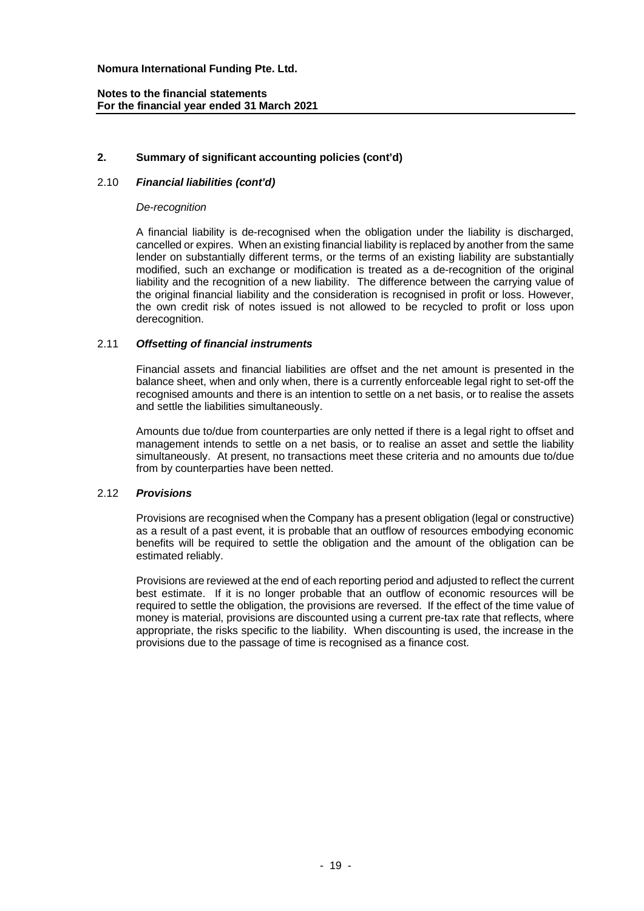# **2. Summary of significant accounting policies (cont'd)**

# 2.10 *Financial liabilities (cont'd)*

### *De-recognition*

A financial liability is de-recognised when the obligation under the liability is discharged, cancelled or expires. When an existing financial liability is replaced by another from the same lender on substantially different terms, or the terms of an existing liability are substantially modified, such an exchange or modification is treated as a de-recognition of the original liability and the recognition of a new liability. The difference between the carrying value of the original financial liability and the consideration is recognised in profit or loss. However, the own credit risk of notes issued is not allowed to be recycled to profit or loss upon derecognition.

# 2.11 *Offsetting of financial instruments*

Financial assets and financial liabilities are offset and the net amount is presented in the balance sheet, when and only when, there is a currently enforceable legal right to set-off the recognised amounts and there is an intention to settle on a net basis, or to realise the assets and settle the liabilities simultaneously.

Amounts due to/due from counterparties are only netted if there is a legal right to offset and management intends to settle on a net basis, or to realise an asset and settle the liability simultaneously. At present, no transactions meet these criteria and no amounts due to/due from by counterparties have been netted.

# 2.12 *Provisions*

Provisions are recognised when the Company has a present obligation (legal or constructive) as a result of a past event, it is probable that an outflow of resources embodying economic benefits will be required to settle the obligation and the amount of the obligation can be estimated reliably.

Provisions are reviewed at the end of each reporting period and adjusted to reflect the current best estimate. If it is no longer probable that an outflow of economic resources will be required to settle the obligation, the provisions are reversed. If the effect of the time value of money is material, provisions are discounted using a current pre-tax rate that reflects, where appropriate, the risks specific to the liability. When discounting is used, the increase in the provisions due to the passage of time is recognised as a finance cost.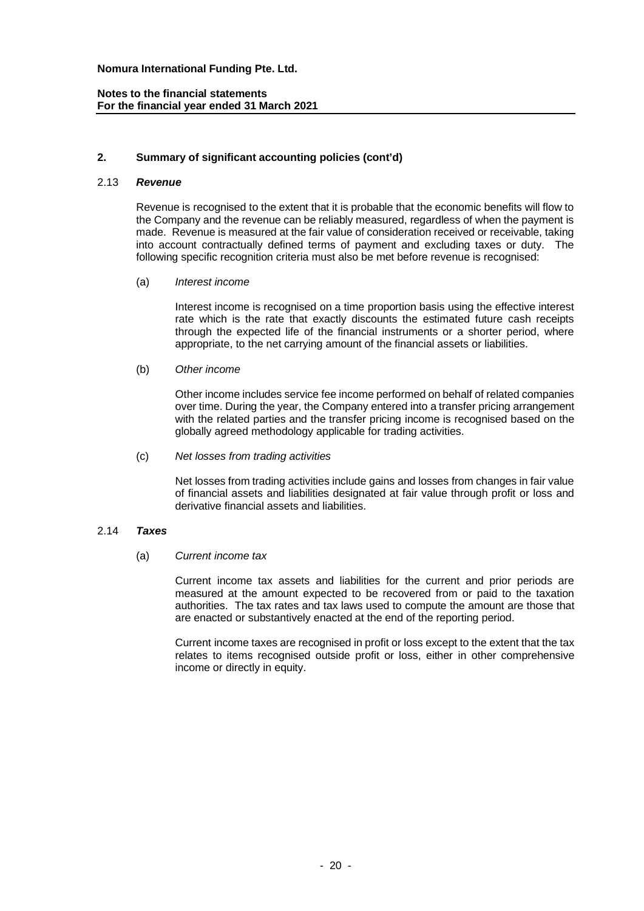# **Notes to the financial statements For the financial year ended 31 March 2021**

# **2. Summary of significant accounting policies (cont'd)**

### 2.13 *Revenue*

Revenue is recognised to the extent that it is probable that the economic benefits will flow to the Company and the revenue can be reliably measured, regardless of when the payment is made. Revenue is measured at the fair value of consideration received or receivable, taking into account contractually defined terms of payment and excluding taxes or duty. The following specific recognition criteria must also be met before revenue is recognised:

(a) *Interest income*

Interest income is recognised on a time proportion basis using the effective interest rate which is the rate that exactly discounts the estimated future cash receipts through the expected life of the financial instruments or a shorter period, where appropriate, to the net carrying amount of the financial assets or liabilities.

#### (b) *Other income*

Other income includes service fee income performed on behalf of related companies over time. During the year, the Company entered into a transfer pricing arrangement with the related parties and the transfer pricing income is recognised based on the globally agreed methodology applicable for trading activities.

#### (c) *Net losses from trading activities*

Net losses from trading activities include gains and losses from changes in fair value of financial assets and liabilities designated at fair value through profit or loss and derivative financial assets and liabilities.

# 2.14 *Taxes*

### (a) *Current income tax*

Current income tax assets and liabilities for the current and prior periods are measured at the amount expected to be recovered from or paid to the taxation authorities. The tax rates and tax laws used to compute the amount are those that are enacted or substantively enacted at the end of the reporting period.

Current income taxes are recognised in profit or loss except to the extent that the tax relates to items recognised outside profit or loss, either in other comprehensive income or directly in equity.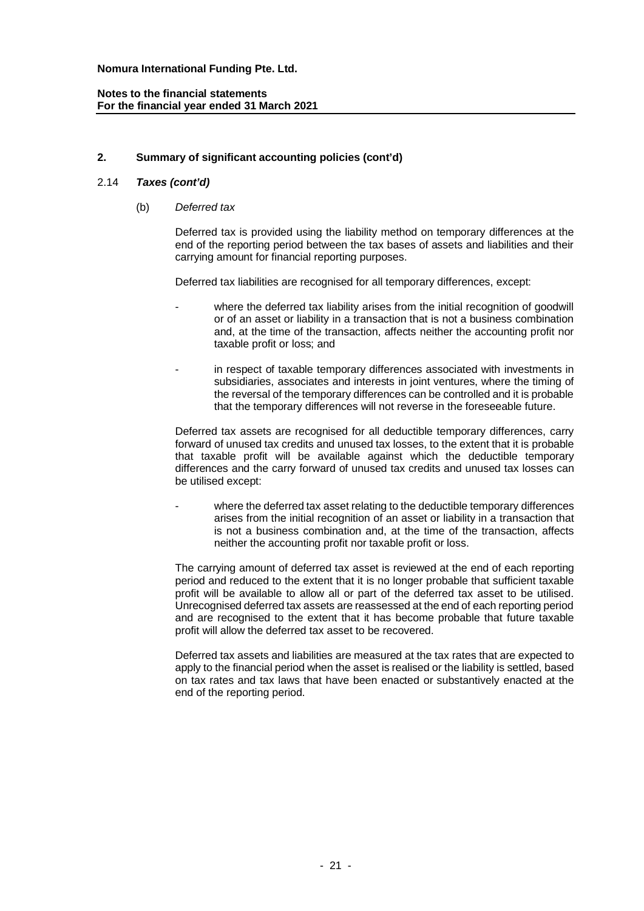# **2. Summary of significant accounting policies (cont'd)**

# 2.14 *Taxes (cont'd)*

(b) *Deferred tax*

Deferred tax is provided using the liability method on temporary differences at the end of the reporting period between the tax bases of assets and liabilities and their carrying amount for financial reporting purposes.

Deferred tax liabilities are recognised for all temporary differences, except:

- where the deferred tax liability arises from the initial recognition of goodwill or of an asset or liability in a transaction that is not a business combination and, at the time of the transaction, affects neither the accounting profit nor taxable profit or loss; and
- in respect of taxable temporary differences associated with investments in subsidiaries, associates and interests in joint ventures, where the timing of the reversal of the temporary differences can be controlled and it is probable that the temporary differences will not reverse in the foreseeable future.

Deferred tax assets are recognised for all deductible temporary differences, carry forward of unused tax credits and unused tax losses, to the extent that it is probable that taxable profit will be available against which the deductible temporary differences and the carry forward of unused tax credits and unused tax losses can be utilised except:

where the deferred tax asset relating to the deductible temporary differences arises from the initial recognition of an asset or liability in a transaction that is not a business combination and, at the time of the transaction, affects neither the accounting profit nor taxable profit or loss.

The carrying amount of deferred tax asset is reviewed at the end of each reporting period and reduced to the extent that it is no longer probable that sufficient taxable profit will be available to allow all or part of the deferred tax asset to be utilised. Unrecognised deferred tax assets are reassessed at the end of each reporting period and are recognised to the extent that it has become probable that future taxable profit will allow the deferred tax asset to be recovered.

Deferred tax assets and liabilities are measured at the tax rates that are expected to apply to the financial period when the asset is realised or the liability is settled, based on tax rates and tax laws that have been enacted or substantively enacted at the end of the reporting period.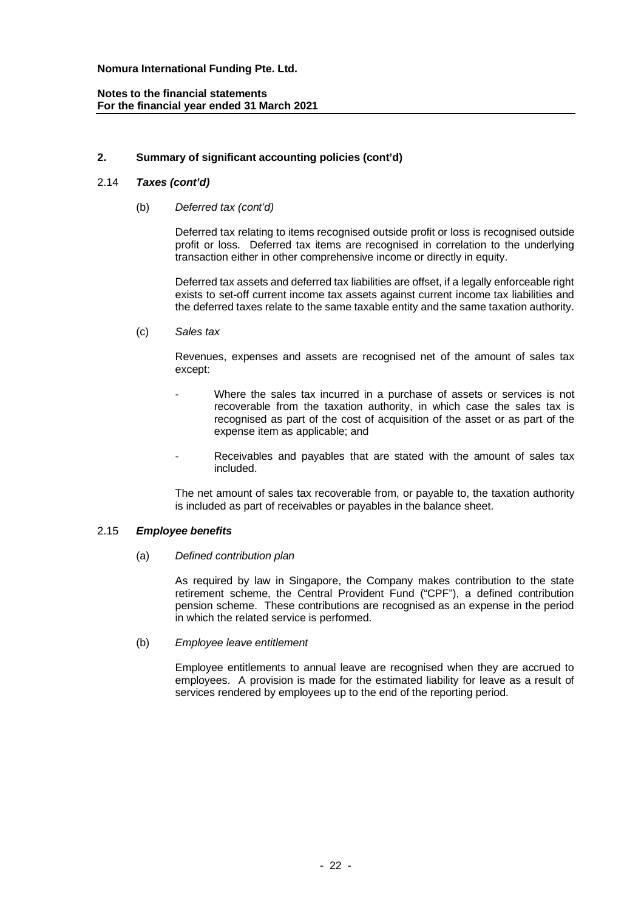# **2. Summary of significant accounting policies (cont'd)**

# 2.14 *Taxes (cont'd)*

(b) *Deferred tax (cont'd)*

Deferred tax relating to items recognised outside profit or loss is recognised outside profit or loss. Deferred tax items are recognised in correlation to the underlying transaction either in other comprehensive income or directly in equity.

Deferred tax assets and deferred tax liabilities are offset, if a legally enforceable right exists to set-off current income tax assets against current income tax liabilities and the deferred taxes relate to the same taxable entity and the same taxation authority.

(c) *Sales tax*

Revenues, expenses and assets are recognised net of the amount of sales tax except:

- Where the sales tax incurred in a purchase of assets or services is not recoverable from the taxation authority, in which case the sales tax is recognised as part of the cost of acquisition of the asset or as part of the expense item as applicable; and
- Receivables and payables that are stated with the amount of sales tax included.

The net amount of sales tax recoverable from, or payable to, the taxation authority is included as part of receivables or payables in the balance sheet.

# 2.15 *Employee benefits*

(a) *Defined contribution plan*

As required by law in Singapore, the Company makes contribution to the state retirement scheme, the Central Provident Fund ("CPF"), a defined contribution pension scheme. These contributions are recognised as an expense in the period in which the related service is performed.

(b) *Employee leave entitlement*

Employee entitlements to annual leave are recognised when they are accrued to employees. A provision is made for the estimated liability for leave as a result of services rendered by employees up to the end of the reporting period.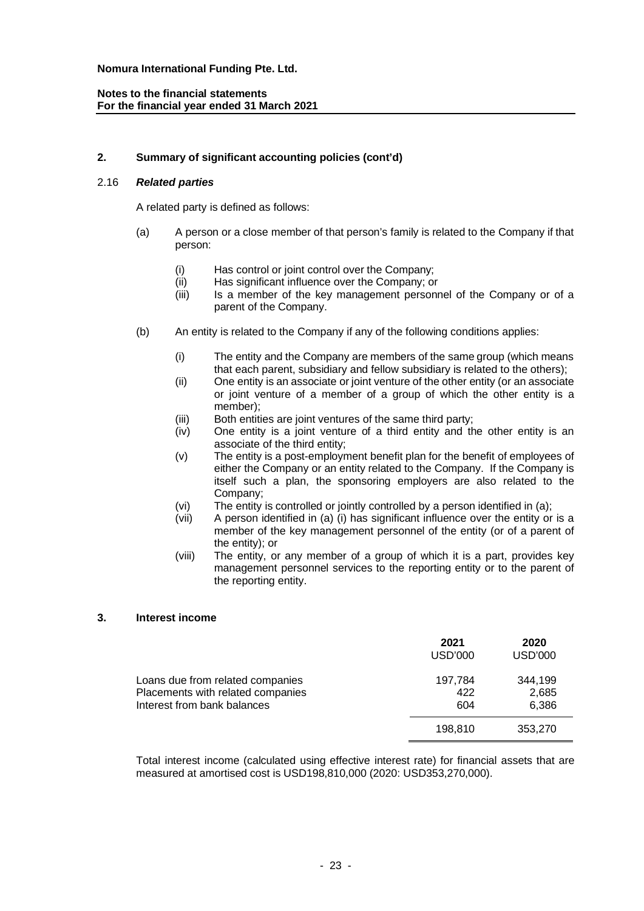# **2. Summary of significant accounting policies (cont'd)**

# 2.16 *Related parties*

A related party is defined as follows:

- (a) A person or a close member of that person's family is related to the Company if that person:
	- (i) Has control or joint control over the Company;
	- (ii) Has significant influence over the Company; or
	- (iii) Is a member of the key management personnel of the Company or of a parent of the Company.
- (b) An entity is related to the Company if any of the following conditions applies:
	- (i) The entity and the Company are members of the same group (which means that each parent, subsidiary and fellow subsidiary is related to the others);
	- (ii) One entity is an associate or joint venture of the other entity (or an associate or joint venture of a member of a group of which the other entity is a member);
	- (iii) Both entities are joint ventures of the same third party;
	- (iv) One entity is a joint venture of a third entity and the other entity is an associate of the third entity;
	- (v) The entity is a post-employment benefit plan for the benefit of employees of either the Company or an entity related to the Company. If the Company is itself such a plan, the sponsoring employers are also related to the Company;
	- (vi) The entity is controlled or jointly controlled by a person identified in (a);
	- (vii) A person identified in (a) (i) has significant influence over the entity or is a member of the key management personnel of the entity (or of a parent of the entity); or
	- (viii) The entity, or any member of a group of which it is a part, provides key management personnel services to the reporting entity or to the parent of the reporting entity.

### **3. Interest income**

|                                                                                                      | 2021<br><b>USD'000</b> | 2020<br><b>USD'000</b>    |
|------------------------------------------------------------------------------------------------------|------------------------|---------------------------|
| Loans due from related companies<br>Placements with related companies<br>Interest from bank balances | 197,784<br>422<br>604  | 344,199<br>2,685<br>6,386 |
|                                                                                                      | 198,810                | 353,270                   |

Total interest income (calculated using effective interest rate) for financial assets that are measured at amortised cost is USD198,810,000 (2020: USD353,270,000).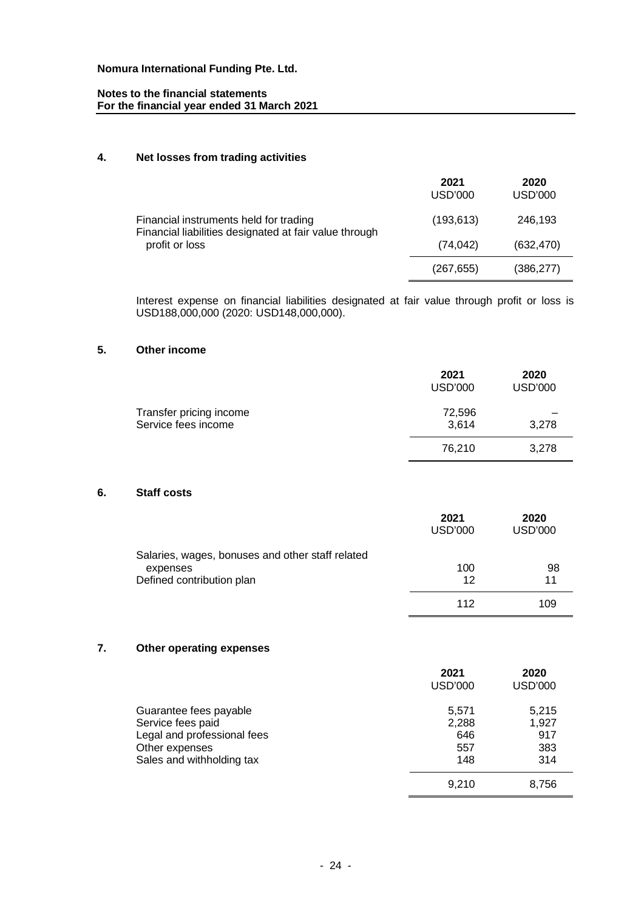# **Notes to the financial statements For the financial year ended 31 March 2021**

# **4. Net losses from trading activities**

|                                                                                                  | 2021<br><b>USD'000</b> | 2020<br><b>USD'000</b> |
|--------------------------------------------------------------------------------------------------|------------------------|------------------------|
| Financial instruments held for trading<br>Financial liabilities designated at fair value through | (193, 613)             | 246,193                |
| profit or loss                                                                                   | (74, 042)              | (632, 470)             |
|                                                                                                  | (267, 655)             | (386, 277)             |

Interest expense on financial liabilities designated at fair value through profit or loss is USD188,000,000 (2020: USD148,000,000).

# **5. Other income**

|                                                | 2021<br><b>USD'000</b> | 2020<br>USD'000 |
|------------------------------------------------|------------------------|-----------------|
| Transfer pricing income<br>Service fees income | 72,596<br>3.614        | 3,278           |
|                                                | 76.210                 | 3,278           |

# **6. Staff costs**

|                                                  | 2021<br><b>USD'000</b> | 2020<br>USD'000 |
|--------------------------------------------------|------------------------|-----------------|
| Salaries, wages, bonuses and other staff related | 100                    |                 |
| expenses                                         |                        | 98              |
| Defined contribution plan                        | 12                     | 11              |
|                                                  | 112                    | 109             |

# **7. Other operating expenses**

|                                                                                                                           | 2021<br><b>USD'000</b>              | 2020<br><b>USD'000</b>              |
|---------------------------------------------------------------------------------------------------------------------------|-------------------------------------|-------------------------------------|
| Guarantee fees payable<br>Service fees paid<br>Legal and professional fees<br>Other expenses<br>Sales and withholding tax | 5,571<br>2,288<br>646<br>557<br>148 | 5,215<br>1,927<br>917<br>383<br>314 |
|                                                                                                                           | 9,210                               | 8,756                               |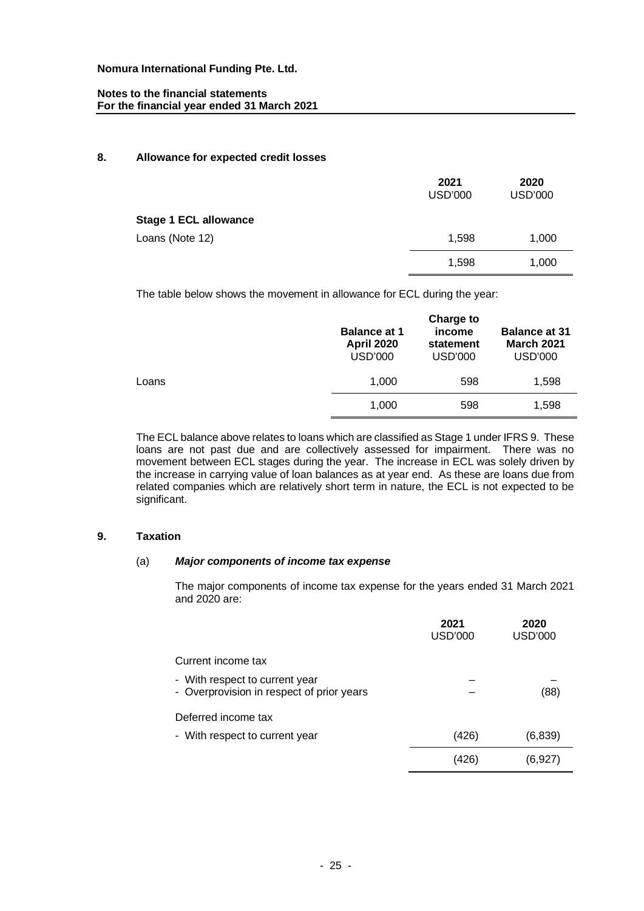# **Notes to the financial statements For the financial year ended 31 March 2021**

### **8. Allowance for expected credit losses**

|                              | 2021<br><b>USD'000</b> | 2020<br><b>USD'000</b> |
|------------------------------|------------------------|------------------------|
| <b>Stage 1 ECL allowance</b> |                        |                        |
| Loans (Note 12)              | 1,598                  | 1,000                  |
|                              | 1,598                  | 1,000                  |

The table below shows the movement in allowance for ECL during the year:

|       | <b>Balance at 1</b><br><b>April 2020</b><br><b>USD'000</b> | Charge to<br>income<br>statement<br><b>USD'000</b> | <b>Balance at 31</b><br><b>March 2021</b><br>USD'000 |
|-------|------------------------------------------------------------|----------------------------------------------------|------------------------------------------------------|
| Loans | 1,000                                                      | 598                                                | 1,598                                                |
|       | 1,000                                                      | 598                                                | 1,598                                                |

The ECL balance above relates to loans which are classified as Stage 1 under IFRS 9. These loans are not past due and are collectively assessed for impairment. There was no movement between ECL stages during the year. The increase in ECL was solely driven by the increase in carrying value of loan balances as at year end. As these are loans due from related companies which are relatively short term in nature, the ECL is not expected to be significant.

# **9. Taxation**

# (a) *Major components of income tax expense*

The major components of income tax expense for the years ended 31 March 2021 and 2020 are:

|                                                                             | 2021<br><b>USD'000</b> | 2020<br><b>USD'000</b> |
|-----------------------------------------------------------------------------|------------------------|------------------------|
| Current income tax                                                          |                        |                        |
| - With respect to current year<br>- Overprovision in respect of prior years |                        | (88)                   |
| Deferred income tax                                                         |                        |                        |
| - With respect to current year                                              | (426)                  | (6,839)                |
|                                                                             | (426)                  | (6.927                 |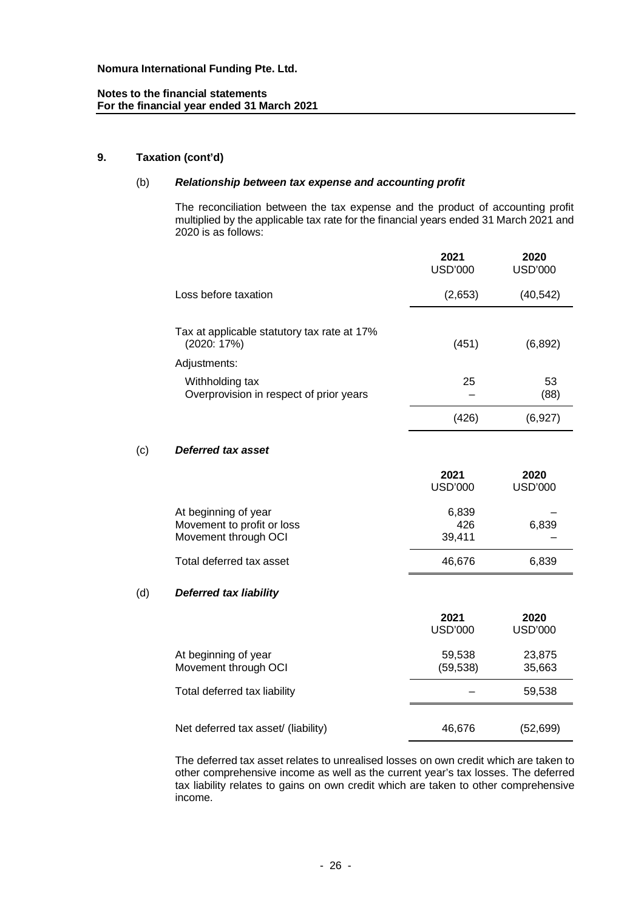# **9. Taxation (cont'd)**

(c) *Deferred tax asset*

(d) *Deferred tax liability*

# (b) *Relationship between tax expense and accounting profit*

The reconciliation between the tax expense and the product of accounting profit multiplied by the applicable tax rate for the financial years ended 31 March 2021 and 2020 is as follows:

|                                                                            | 2021<br><b>USD'000</b> | 2020<br><b>USD'000</b> |
|----------------------------------------------------------------------------|------------------------|------------------------|
| Loss before taxation                                                       | (2,653)                | (40, 542)              |
| Tax at applicable statutory tax rate at 17%<br>(2020: 17%)                 | (451)                  | (6, 892)               |
| Adjustments:                                                               |                        |                        |
| Withholding tax<br>Overprovision in respect of prior years                 | 25                     | 53<br>(88)             |
|                                                                            | (426)                  | (6,927)                |
| <b>Deferred tax asset</b>                                                  |                        |                        |
|                                                                            | 2021<br><b>USD'000</b> | 2020<br><b>USD'000</b> |
| At beginning of year<br>Movement to profit or loss<br>Movement through OCI | 6,839<br>426<br>39,411 | 6,839                  |
| Total deferred tax asset                                                   | 46,676                 | 6,839                  |
| <b>Deferred tax liability</b>                                              |                        |                        |
|                                                                            | 2021<br><b>USD'000</b> | 2020<br><b>USD'000</b> |
| At beginning of year<br>Movement through OCI                               | 59,538<br>(59, 538)    | 23,875<br>35,663       |
| Total deferred tax liability                                               |                        | 59,538                 |
| Net deferred tax asset/ (liability)                                        | 46,676                 | (52, 699)              |

The deferred tax asset relates to unrealised losses on own credit which are taken to other comprehensive income as well as the current year's tax losses. The deferred tax liability relates to gains on own credit which are taken to other comprehensive income.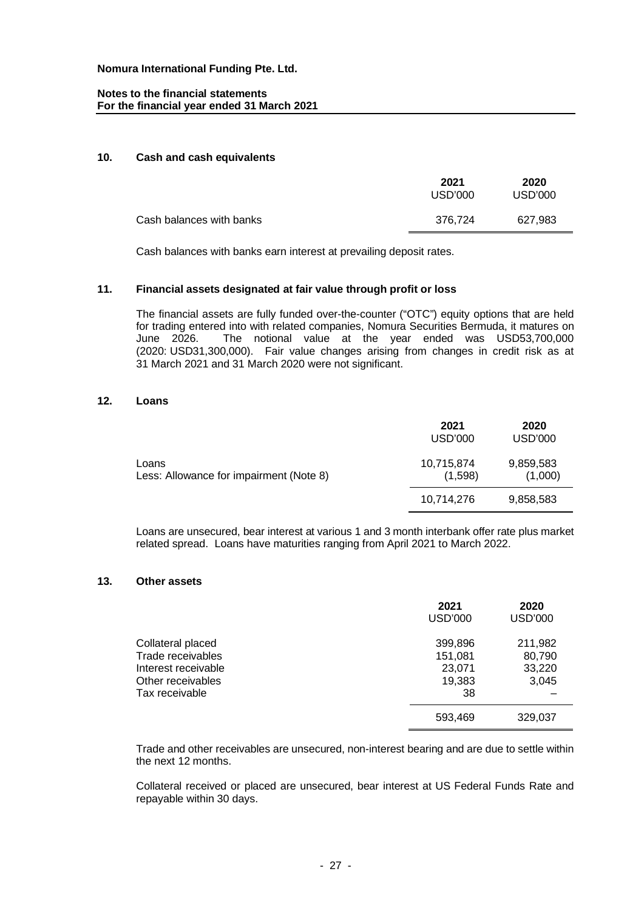### **10. Cash and cash equivalents**

|                          | 2021<br>USD'000 | 2020<br>USD'000 |
|--------------------------|-----------------|-----------------|
| Cash balances with banks | 376.724         | 627,983         |
|                          |                 |                 |

Cash balances with banks earn interest at prevailing deposit rates.

# **11. Financial assets designated at fair value through profit or loss**

The financial assets are fully funded over-the-counter ("OTC") equity options that are held for trading entered into with related companies, Nomura Securities Bermuda, it matures on<br>June 2026. The notional value at the year ended was USD53,700,000 The notional value at the year ended was USD53,700,000 (2020: USD31,300,000). Fair value changes arising from changes in credit risk as at 31 March 2021 and 31 March 2020 were not significant.

### **12. Loans**

|                                                  | 2021<br>USD'000       | 2020<br>USD'000      |
|--------------------------------------------------|-----------------------|----------------------|
| Loans<br>Less: Allowance for impairment (Note 8) | 10,715,874<br>(1,598) | 9,859,583<br>(1,000) |
|                                                  | 10,714,276            | 9,858,583            |

Loans are unsecured, bear interest at various 1 and 3 month interbank offer rate plus market related spread. Loans have maturities ranging from April 2021 to March 2022.

# **13. Other assets**

|                     | 2021<br><b>USD'000</b> | 2020<br><b>USD'000</b> |
|---------------------|------------------------|------------------------|
| Collateral placed   | 399,896                | 211,982                |
| Trade receivables   | 151,081                | 80,790                 |
| Interest receivable | 23,071                 | 33,220                 |
| Other receivables   | 19,383                 | 3.045                  |
| Tax receivable      | 38                     |                        |
|                     | 593,469                | 329,037                |

Trade and other receivables are unsecured, non-interest bearing and are due to settle within the next 12 months.

Collateral received or placed are unsecured, bear interest at US Federal Funds Rate and repayable within 30 days.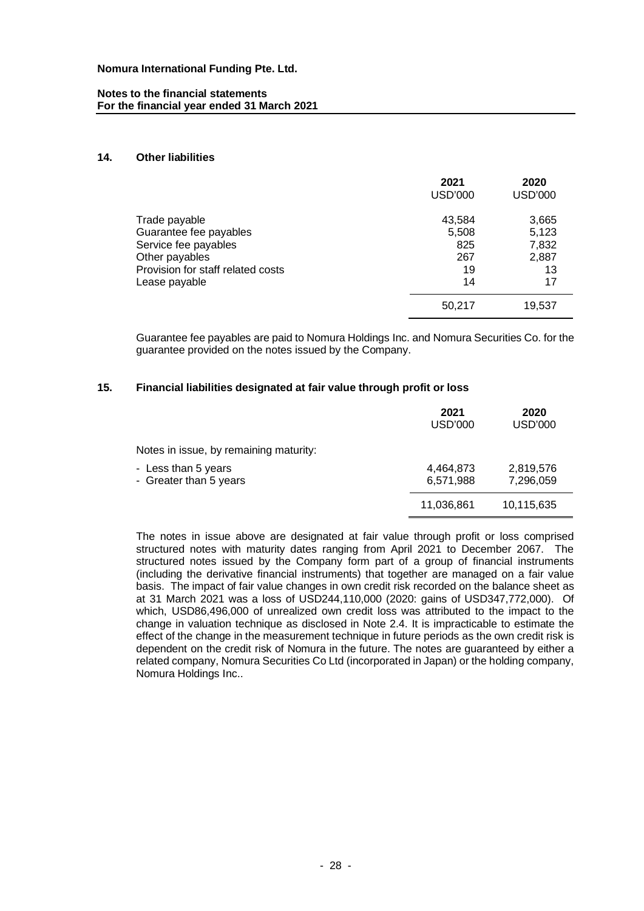### **Notes to the financial statements For the financial year ended 31 March 2021**

#### **14. Other liabilities**

|                                   | 2021<br><b>USD'000</b> | 2020<br><b>USD'000</b> |
|-----------------------------------|------------------------|------------------------|
| Trade payable                     | 43,584                 | 3,665                  |
| Guarantee fee payables            | 5,508                  | 5,123                  |
| Service fee payables              | 825                    | 7,832                  |
| Other payables                    | 267                    | 2,887                  |
| Provision for staff related costs | 19                     | 13                     |
| Lease payable                     | 14                     | 17                     |
|                                   | 50,217                 | 19,537                 |

Guarantee fee payables are paid to Nomura Holdings Inc. and Nomura Securities Co. for the guarantee provided on the notes issued by the Company.

# **15. Financial liabilities designated at fair value through profit or loss**

|                                        | 2021<br><b>USD'000</b> | 2020<br><b>USD'000</b> |
|----------------------------------------|------------------------|------------------------|
| Notes in issue, by remaining maturity: |                        |                        |
| - Less than 5 years                    | 4,464,873              | 2,819,576              |
| - Greater than 5 years                 | 6,571,988              | 7,296,059              |
|                                        | 11,036,861             | 10,115,635             |

The notes in issue above are designated at fair value through profit or loss comprised structured notes with maturity dates ranging from April 2021 to December 2067. The structured notes issued by the Company form part of a group of financial instruments (including the derivative financial instruments) that together are managed on a fair value basis. The impact of fair value changes in own credit risk recorded on the balance sheet as at 31 March 2021 was a loss of USD244,110,000 (2020: gains of USD347,772,000). Of which, USD86,496,000 of unrealized own credit loss was attributed to the impact to the change in valuation technique as disclosed in Note 2.4. It is impracticable to estimate the effect of the change in the measurement technique in future periods as the own credit risk is dependent on the credit risk of Nomura in the future. The notes are guaranteed by either a related company, Nomura Securities Co Ltd (incorporated in Japan) or the holding company, Nomura Holdings Inc..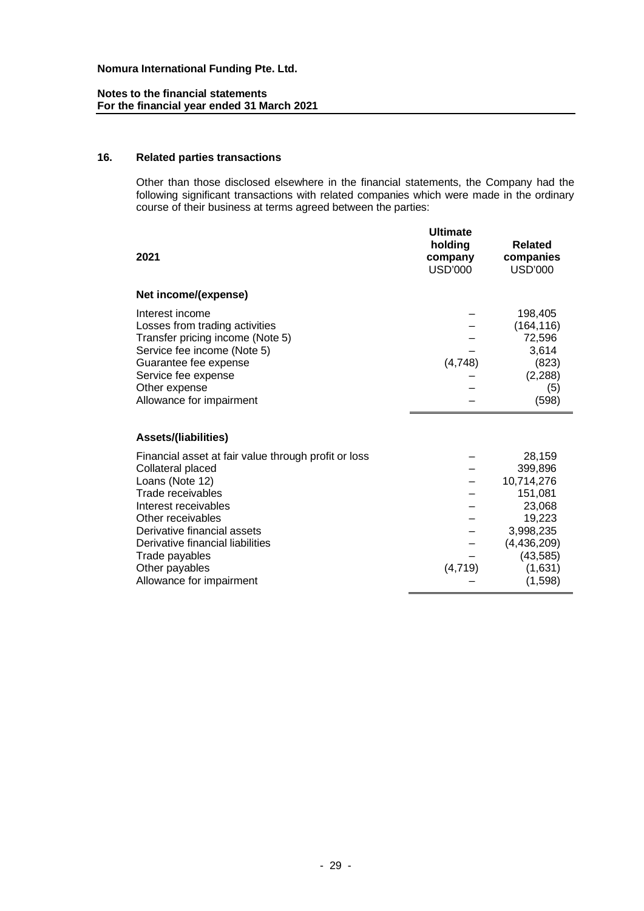# **16. Related parties transactions**

Other than those disclosed elsewhere in the financial statements, the Company had the following significant transactions with related companies which were made in the ordinary course of their business at terms agreed between the parties:

| 2021                                                                                                                                                                                                                                                                                              | <b>Ultimate</b><br>holding<br>company<br>USD'000 | <b>Related</b><br>companies<br><b>USD'000</b>                                                                                   |
|---------------------------------------------------------------------------------------------------------------------------------------------------------------------------------------------------------------------------------------------------------------------------------------------------|--------------------------------------------------|---------------------------------------------------------------------------------------------------------------------------------|
| Net income/(expense)                                                                                                                                                                                                                                                                              |                                                  |                                                                                                                                 |
| Interest income<br>Losses from trading activities<br>Transfer pricing income (Note 5)<br>Service fee income (Note 5)<br>Guarantee fee expense<br>Service fee expense<br>Other expense<br>Allowance for impairment                                                                                 | (4,748)                                          | 198,405<br>(164, 116)<br>72,596<br>3,614<br>(823)<br>(2, 288)<br>(5)<br>(598)                                                   |
| <b>Assets/(liabilities)</b>                                                                                                                                                                                                                                                                       |                                                  |                                                                                                                                 |
| Financial asset at fair value through profit or loss<br>Collateral placed<br>Loans (Note 12)<br>Trade receivables<br>Interest receivables<br>Other receivables<br>Derivative financial assets<br>Derivative financial liabilities<br>Trade payables<br>Other payables<br>Allowance for impairment | (4, 719)                                         | 28,159<br>399,896<br>10,714,276<br>151,081<br>23,068<br>19,223<br>3,998,235<br>(4, 436, 209)<br>(43, 585)<br>(1,631)<br>(1,598) |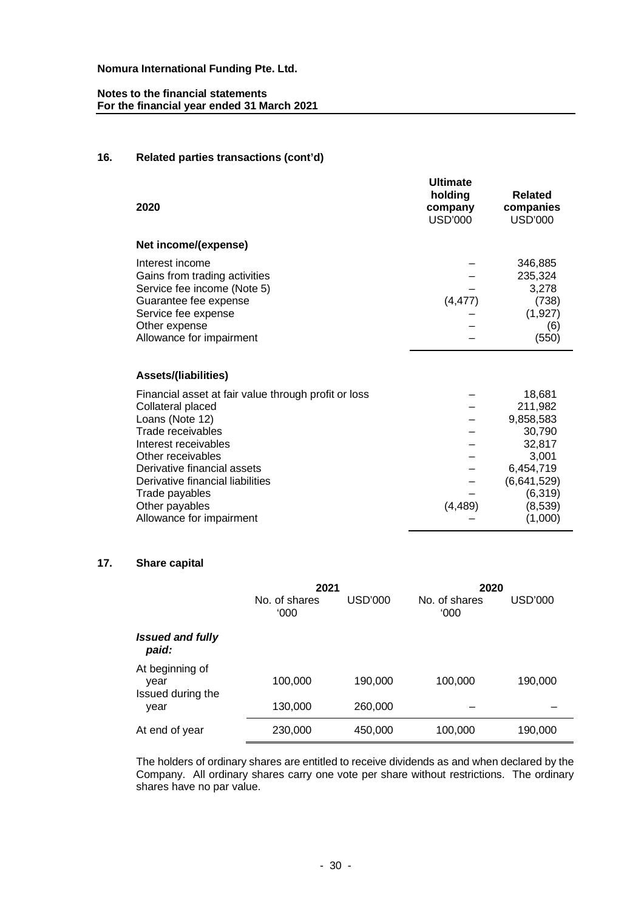# **16. Related parties transactions (cont'd)**

| 2020                                                                                                                                                                         | Ultimate<br>holding<br>company<br>USD'000 | <b>Related</b><br>companies<br><b>USD'000</b>                   |
|------------------------------------------------------------------------------------------------------------------------------------------------------------------------------|-------------------------------------------|-----------------------------------------------------------------|
| Net income/(expense)                                                                                                                                                         |                                           |                                                                 |
| Interest income<br>Gains from trading activities<br>Service fee income (Note 5)<br>Guarantee fee expense<br>Service fee expense<br>Other expense<br>Allowance for impairment | (4, 477)                                  | 346,885<br>235,324<br>3,278<br>(738)<br>(1,927)<br>(6)<br>(550) |
| <b>Assets/(liabilities)</b>                                                                                                                                                  |                                           |                                                                 |
|                                                                                                                                                                              |                                           |                                                                 |
| Financial asset at fair value through profit or loss<br>Collateral placed                                                                                                    |                                           | 18,681<br>211,982                                               |
| Loans (Note 12)                                                                                                                                                              |                                           | 9,858,583                                                       |
| Trade receivables                                                                                                                                                            |                                           | 30,790                                                          |
| Interest receivables                                                                                                                                                         |                                           | 32,817                                                          |
| Other receivables                                                                                                                                                            |                                           | 3,001                                                           |
| Derivative financial assets                                                                                                                                                  |                                           | 6,454,719                                                       |
| Derivative financial liabilities                                                                                                                                             |                                           | (6,641,529)                                                     |
| Trade payables                                                                                                                                                               |                                           | (6, 319)                                                        |
| Other payables                                                                                                                                                               | (4, 489)                                  | (8,539)                                                         |
| Allowance for impairment                                                                                                                                                     |                                           | (1,000)                                                         |

# **17. Share capital**

|                                              | 2021                  |         | 2020                  |                |
|----------------------------------------------|-----------------------|---------|-----------------------|----------------|
|                                              | No. of shares<br>000' | USD'000 | No. of shares<br>000' | <b>USD'000</b> |
| <b>Issued and fully</b><br>paid:             |                       |         |                       |                |
| At beginning of<br>year<br>Issued during the | 100,000               | 190,000 | 100,000               | 190,000        |
| year                                         | 130,000               | 260,000 |                       |                |
| At end of year                               | 230,000               | 450,000 | 100,000               | 190,000        |

The holders of ordinary shares are entitled to receive dividends as and when declared by the Company. All ordinary shares carry one vote per share without restrictions. The ordinary shares have no par value.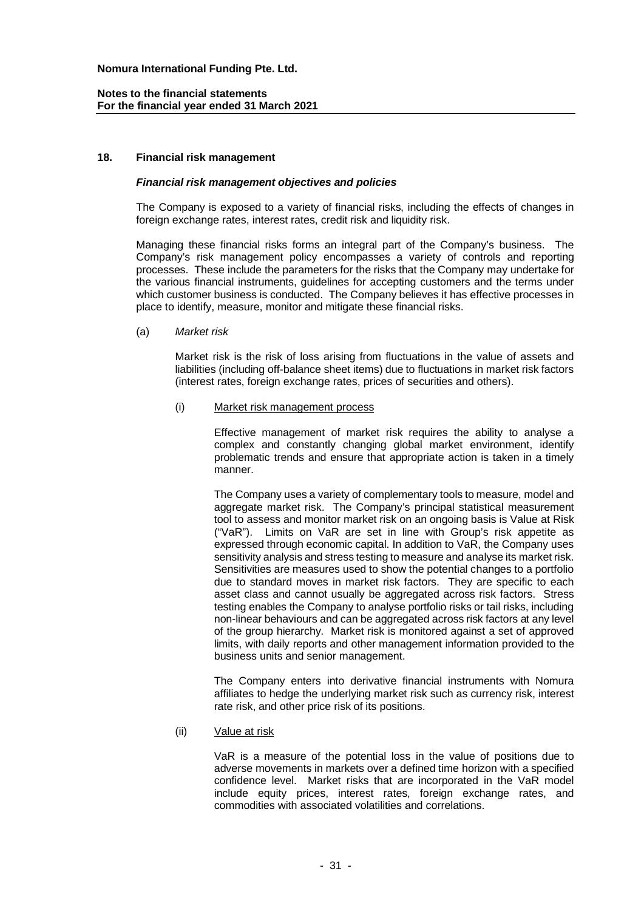# **18. Financial risk management**

#### *Financial risk management objectives and policies*

The Company is exposed to a variety of financial risks, including the effects of changes in foreign exchange rates, interest rates, credit risk and liquidity risk.

Managing these financial risks forms an integral part of the Company's business. The Company's risk management policy encompasses a variety of controls and reporting processes. These include the parameters for the risks that the Company may undertake for the various financial instruments, guidelines for accepting customers and the terms under which customer business is conducted. The Company believes it has effective processes in place to identify, measure, monitor and mitigate these financial risks.

#### (a) *Market risk*

Market risk is the risk of loss arising from fluctuations in the value of assets and liabilities (including off-balance sheet items) due to fluctuations in market risk factors (interest rates, foreign exchange rates, prices of securities and others).

### (i) Market risk management process

Effective management of market risk requires the ability to analyse a complex and constantly changing global market environment, identify problematic trends and ensure that appropriate action is taken in a timely manner.

The Company uses a variety of complementary tools to measure, model and aggregate market risk. The Company's principal statistical measurement tool to assess and monitor market risk on an ongoing basis is Value at Risk ("VaR"). Limits on VaR are set in line with Group's risk appetite as expressed through economic capital. In addition to VaR, the Company uses sensitivity analysis and stress testing to measure and analyse its market risk. Sensitivities are measures used to show the potential changes to a portfolio due to standard moves in market risk factors. They are specific to each asset class and cannot usually be aggregated across risk factors. Stress testing enables the Company to analyse portfolio risks or tail risks, including non-linear behaviours and can be aggregated across risk factors at any level of the group hierarchy. Market risk is monitored against a set of approved limits, with daily reports and other management information provided to the business units and senior management.

The Company enters into derivative financial instruments with Nomura affiliates to hedge the underlying market risk such as currency risk, interest rate risk, and other price risk of its positions.

### (ii) Value at risk

VaR is a measure of the potential loss in the value of positions due to adverse movements in markets over a defined time horizon with a specified confidence level. Market risks that are incorporated in the VaR model include equity prices, interest rates, foreign exchange rates, and commodities with associated volatilities and correlations.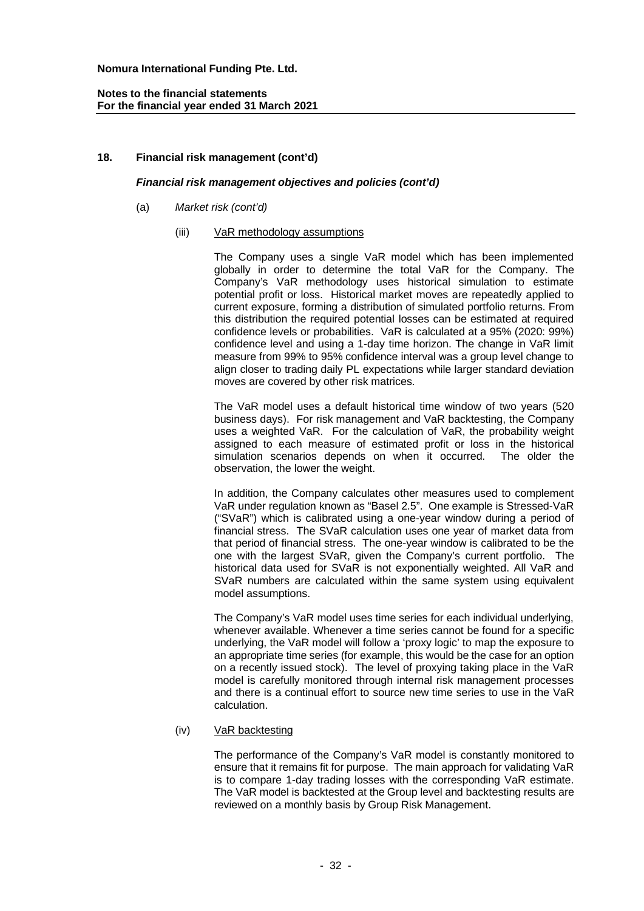# **18. Financial risk management (cont'd)**

### *Financial risk management objectives and policies (cont'd)*

(a) *Market risk (cont'd)*

### (iii) VaR methodology assumptions

The Company uses a single VaR model which has been implemented globally in order to determine the total VaR for the Company. The Company's VaR methodology uses historical simulation to estimate potential profit or loss. Historical market moves are repeatedly applied to current exposure, forming a distribution of simulated portfolio returns. From this distribution the required potential losses can be estimated at required confidence levels or probabilities. VaR is calculated at a 95% (2020: 99%) confidence level and using a 1-day time horizon. The change in VaR limit measure from 99% to 95% confidence interval was a group level change to align closer to trading daily PL expectations while larger standard deviation moves are covered by other risk matrices.

The VaR model uses a default historical time window of two years (520 business days). For risk management and VaR backtesting, the Company uses a weighted VaR. For the calculation of VaR, the probability weight assigned to each measure of estimated profit or loss in the historical simulation scenarios depends on when it occurred. The older the observation, the lower the weight.

In addition, the Company calculates other measures used to complement VaR under regulation known as "Basel 2.5". One example is Stressed-VaR ("SVaR") which is calibrated using a one-year window during a period of financial stress. The SVaR calculation uses one year of market data from that period of financial stress. The one-year window is calibrated to be the one with the largest SVaR, given the Company's current portfolio. The historical data used for SVaR is not exponentially weighted. All VaR and SVaR numbers are calculated within the same system using equivalent model assumptions.

The Company's VaR model uses time series for each individual underlying, whenever available. Whenever a time series cannot be found for a specific underlying, the VaR model will follow a 'proxy logic' to map the exposure to an appropriate time series (for example, this would be the case for an option on a recently issued stock). The level of proxying taking place in the VaR model is carefully monitored through internal risk management processes and there is a continual effort to source new time series to use in the VaR calculation.

### (iv) VaR backtesting

The performance of the Company's VaR model is constantly monitored to ensure that it remains fit for purpose. The main approach for validating VaR is to compare 1-day trading losses with the corresponding VaR estimate. The VaR model is backtested at the Group level and backtesting results are reviewed on a monthly basis by Group Risk Management.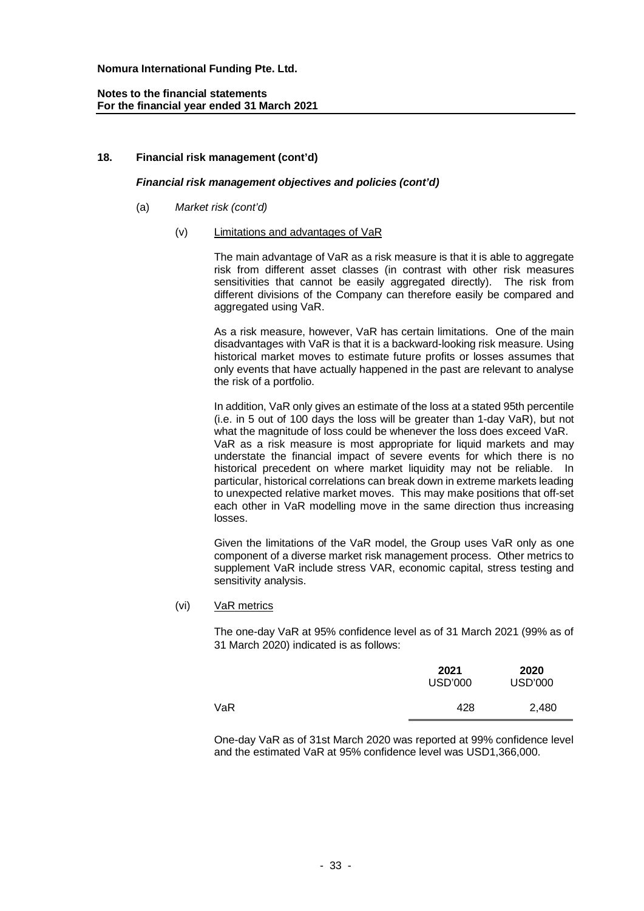# **18. Financial risk management (cont'd)**

# *Financial risk management objectives and policies (cont'd)*

- (a) *Market risk (cont'd)*
	- (v) Limitations and advantages of VaR

The main advantage of VaR as a risk measure is that it is able to aggregate risk from different asset classes (in contrast with other risk measures sensitivities that cannot be easily aggregated directly). The risk from different divisions of the Company can therefore easily be compared and aggregated using VaR.

As a risk measure, however, VaR has certain limitations. One of the main disadvantages with VaR is that it is a backward-looking risk measure. Using historical market moves to estimate future profits or losses assumes that only events that have actually happened in the past are relevant to analyse the risk of a portfolio.

In addition, VaR only gives an estimate of the loss at a stated 95th percentile (i.e. in 5 out of 100 days the loss will be greater than 1-day VaR), but not what the magnitude of loss could be whenever the loss does exceed VaR. VaR as a risk measure is most appropriate for liquid markets and may understate the financial impact of severe events for which there is no historical precedent on where market liquidity may not be reliable. In particular, historical correlations can break down in extreme markets leading to unexpected relative market moves. This may make positions that off-set each other in VaR modelling move in the same direction thus increasing losses.

Given the limitations of the VaR model, the Group uses VaR only as one component of a diverse market risk management process. Other metrics to supplement VaR include stress VAR, economic capital, stress testing and sensitivity analysis.

### (vi) VaR metrics

The one-day VaR at 95% confidence level as of 31 March 2021 (99% as of 31 March 2020) indicated is as follows:

|     | 2021<br><b>USD'000</b> | 2020<br><b>USD'000</b> |
|-----|------------------------|------------------------|
| VaR | 428                    | 2,480                  |

One-day VaR as of 31st March 2020 was reported at 99% confidence level and the estimated VaR at 95% confidence level was USD1,366,000.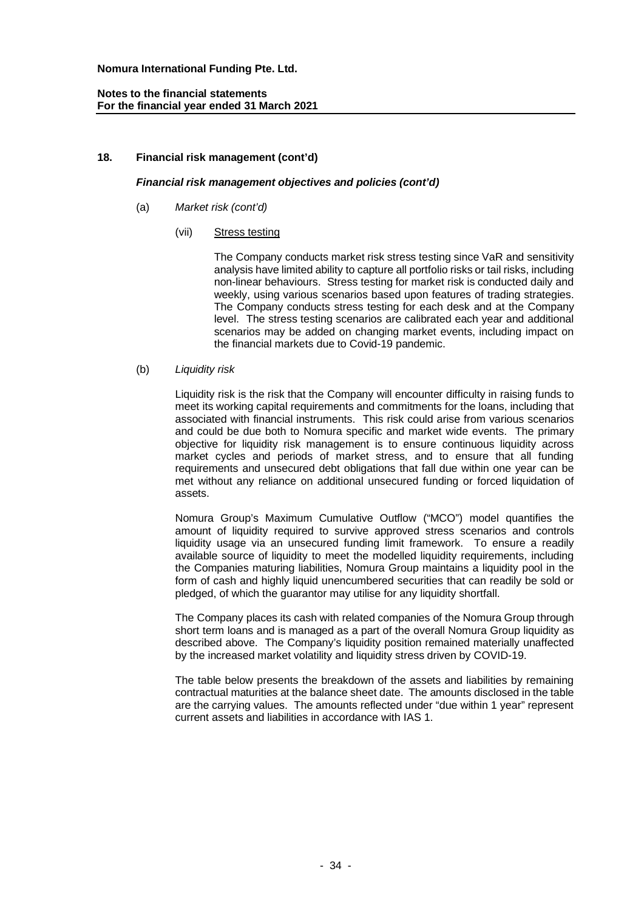# **18. Financial risk management (cont'd)**

### *Financial risk management objectives and policies (cont'd)*

- (a) *Market risk (cont'd)*
	- (vii) Stress testing

The Company conducts market risk stress testing since VaR and sensitivity analysis have limited ability to capture all portfolio risks or tail risks, including non-linear behaviours. Stress testing for market risk is conducted daily and weekly, using various scenarios based upon features of trading strategies. The Company conducts stress testing for each desk and at the Company level. The stress testing scenarios are calibrated each year and additional scenarios may be added on changing market events, including impact on the financial markets due to Covid-19 pandemic.

### (b) *Liquidity risk*

Liquidity risk is the risk that the Company will encounter difficulty in raising funds to meet its working capital requirements and commitments for the loans, including that associated with financial instruments. This risk could arise from various scenarios and could be due both to Nomura specific and market wide events. The primary objective for liquidity risk management is to ensure continuous liquidity across market cycles and periods of market stress, and to ensure that all funding requirements and unsecured debt obligations that fall due within one year can be met without any reliance on additional unsecured funding or forced liquidation of assets.

Nomura Group's Maximum Cumulative Outflow ("MCO") model quantifies the amount of liquidity required to survive approved stress scenarios and controls liquidity usage via an unsecured funding limit framework. To ensure a readily available source of liquidity to meet the modelled liquidity requirements, including the Companies maturing liabilities, Nomura Group maintains a liquidity pool in the form of cash and highly liquid unencumbered securities that can readily be sold or pledged, of which the guarantor may utilise for any liquidity shortfall.

The Company places its cash with related companies of the Nomura Group through short term loans and is managed as a part of the overall Nomura Group liquidity as described above. The Company's liquidity position remained materially unaffected by the increased market volatility and liquidity stress driven by COVID-19.

The table below presents the breakdown of the assets and liabilities by remaining contractual maturities at the balance sheet date. The amounts disclosed in the table are the carrying values. The amounts reflected under "due within 1 year" represent current assets and liabilities in accordance with IAS 1.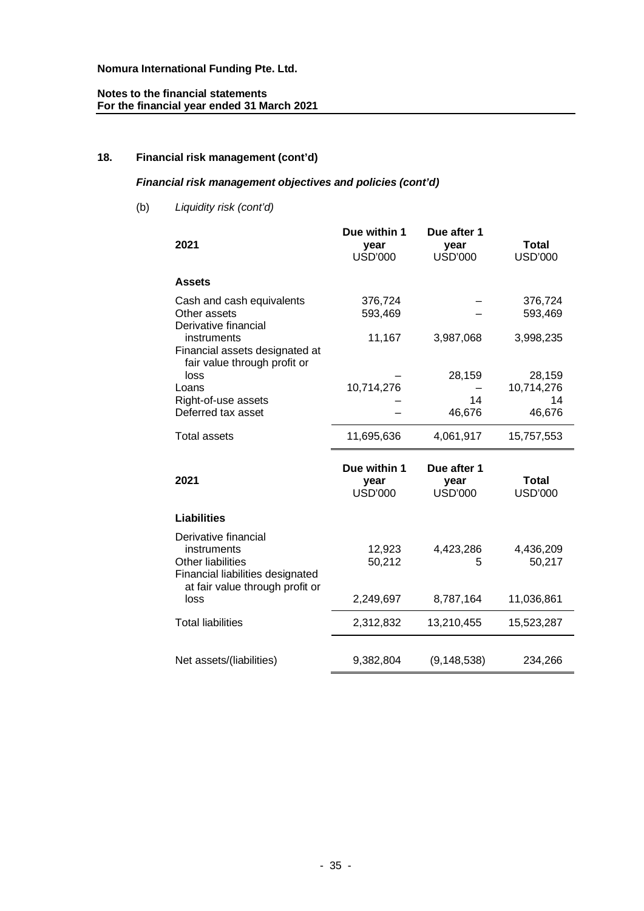# **18. Financial risk management (cont'd)**

# *Financial risk management objectives and policies (cont'd)*

(b) *Liquidity risk (cont'd)*

| 2021                                                                          | Due within 1<br>year<br><b>USD'000</b> | Due after 1<br>year<br><b>USD'000</b> | Total<br><b>USD'000</b> |
|-------------------------------------------------------------------------------|----------------------------------------|---------------------------------------|-------------------------|
| <b>Assets</b>                                                                 |                                        |                                       |                         |
| Cash and cash equivalents                                                     | 376,724                                |                                       | 376,724                 |
| Other assets<br>Derivative financial                                          | 593,469                                |                                       | 593,469                 |
| instruments<br>Financial assets designated at<br>fair value through profit or | 11,167                                 | 3,987,068                             | 3,998,235               |
| loss                                                                          |                                        | 28,159                                | 28,159                  |
| Loans                                                                         | 10,714,276                             |                                       | 10,714,276              |
| Right-of-use assets                                                           |                                        | 14                                    | 14                      |
| Deferred tax asset                                                            |                                        | 46,676                                | 46,676                  |
| Total assets                                                                  | 11,695,636                             | 4,061,917                             | 15,757,553              |
|                                                                               |                                        |                                       |                         |

| 2021                                                                                                                            | Due within 1<br>year<br>USD'000 | Due after 1<br>year<br>USD'000 | Total<br>USD'000    |
|---------------------------------------------------------------------------------------------------------------------------------|---------------------------------|--------------------------------|---------------------|
| Liabilities                                                                                                                     |                                 |                                |                     |
| Derivative financial<br>instruments<br>Other liabilities<br>Financial liabilities designated<br>at fair value through profit or | 12,923<br>50,212                | 4,423,286<br>5                 | 4,436,209<br>50.217 |
| loss                                                                                                                            | 2,249,697                       | 8,787,164                      | 11,036,861          |
| <b>Total liabilities</b>                                                                                                        | 2,312,832                       | 13,210,455                     | 15,523,287          |
| Net assets/(liabilities)                                                                                                        | 9,382,804                       | (9,148,538)                    | 234,266             |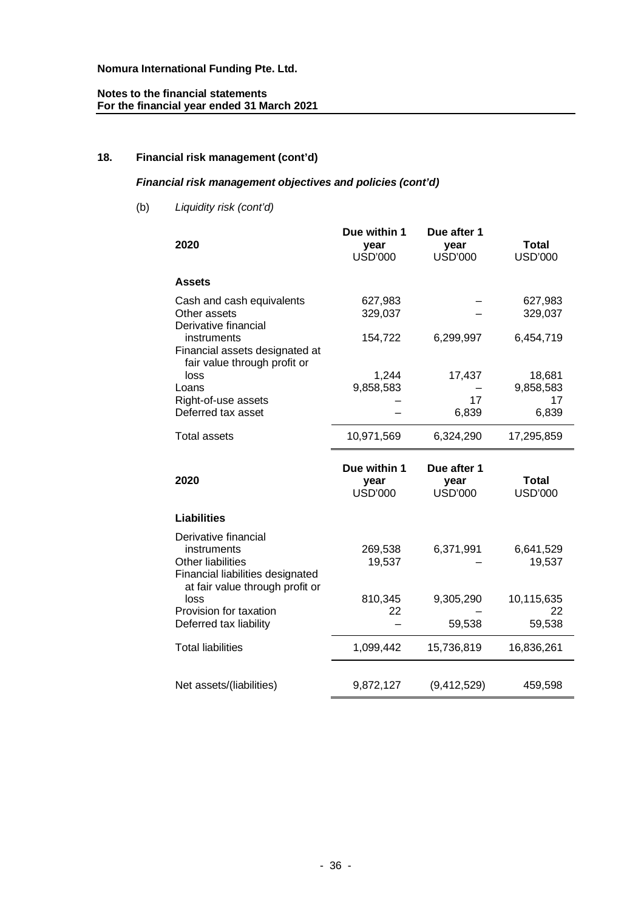# **18. Financial risk management (cont'd)**

# *Financial risk management objectives and policies (cont'd)*

(b) *Liquidity risk (cont'd)*

| 2020                                                                                                  | Due within 1<br>year<br>USD'000 | Due after 1<br>year<br><b>USD'000</b> | Total<br><b>USD'000</b> |
|-------------------------------------------------------------------------------------------------------|---------------------------------|---------------------------------------|-------------------------|
| <b>Assets</b>                                                                                         |                                 |                                       |                         |
| Cash and cash equivalents                                                                             | 627,983                         |                                       | 627,983                 |
| Other assets                                                                                          | 329,037                         |                                       | 329,037                 |
| Derivative financial<br>instruments<br>Financial assets designated at<br>fair value through profit or | 154,722                         | 6,299,997                             | 6,454,719               |
| loss                                                                                                  | 1,244                           | 17,437                                | 18,681                  |
| Loans                                                                                                 | 9,858,583                       |                                       | 9,858,583               |
| Right-of-use assets                                                                                   |                                 | 17                                    | 17                      |
| Deferred tax asset                                                                                    |                                 | 6,839                                 | 6,839                   |
| Total assets                                                                                          | 10,971,569                      | 6,324,290                             | 17,295,859              |
|                                                                                                       | Due within 1                    | 1 After منD                           |                         |

| 2020                                                                                                                            | Due within 1<br>year<br>USD'000 | Due after 1<br>vear<br><b>USD'000</b> | Total<br><b>USD'000</b> |
|---------------------------------------------------------------------------------------------------------------------------------|---------------------------------|---------------------------------------|-------------------------|
| Liabilities                                                                                                                     |                                 |                                       |                         |
| Derivative financial<br>instruments<br>Other liabilities<br>Financial liabilities designated<br>at fair value through profit or | 269,538<br>19,537               | 6,371,991                             | 6,641,529<br>19,537     |
| loss                                                                                                                            | 810,345                         | 9,305,290                             | 10,115,635              |
| Provision for taxation                                                                                                          | 22                              |                                       | 22                      |
| Deferred tax liability                                                                                                          |                                 | 59,538                                | 59,538                  |
| <b>Total liabilities</b>                                                                                                        | 1,099,442                       | 15,736,819                            | 16,836,261              |
|                                                                                                                                 |                                 |                                       |                         |
| Net assets/(liabilities)                                                                                                        | 9,872,127                       | (9,412,529)                           | 459,598                 |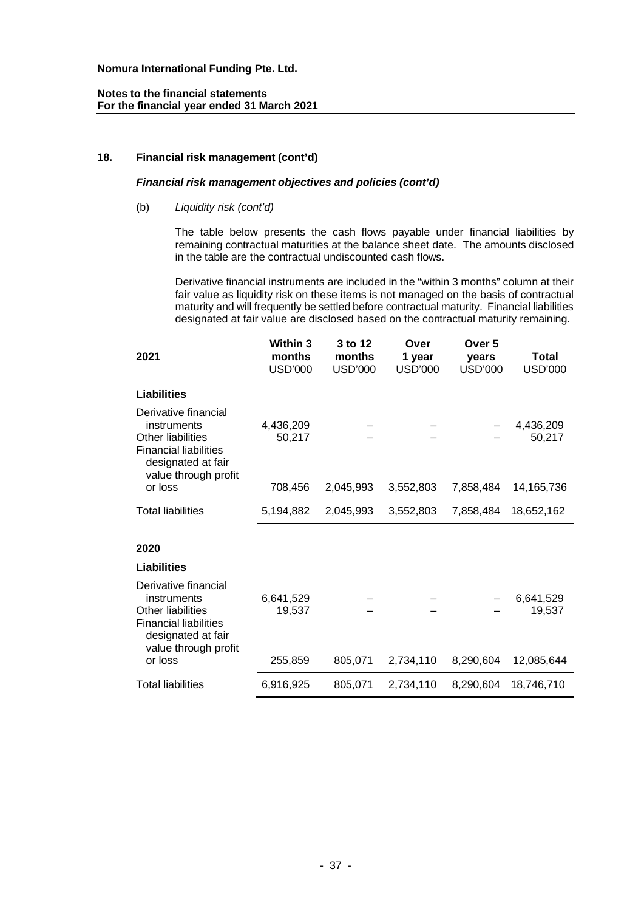# **18. Financial risk management (cont'd)**

# *Financial risk management objectives and policies (cont'd)*

(b) *Liquidity risk (cont'd)*

The table below presents the cash flows payable under financial liabilities by remaining contractual maturities at the balance sheet date. The amounts disclosed in the table are the contractual undiscounted cash flows.

Derivative financial instruments are included in the "within 3 months" column at their fair value as liquidity risk on these items is not managed on the basis of contractual maturity and will frequently be settled before contractual maturity. Financial liabilities designated at fair value are disclosed based on the contractual maturity remaining.

| 2021                                                                                                                                          | Within 3<br>months<br><b>USD'000</b> | 3 to 12<br>months<br><b>USD'000</b> | Over<br>1 year<br>USD'000 | Over 5<br>vears<br><b>USD'000</b> | Total<br>USD'000    |
|-----------------------------------------------------------------------------------------------------------------------------------------------|--------------------------------------|-------------------------------------|---------------------------|-----------------------------------|---------------------|
| <b>Liabilities</b>                                                                                                                            |                                      |                                     |                           |                                   |                     |
| Derivative financial<br>instruments<br><b>Other liabilities</b><br><b>Financial liabilities</b><br>designated at fair<br>value through profit | 4,436,209<br>50,217                  |                                     |                           |                                   | 4,436,209<br>50,217 |
| or loss                                                                                                                                       | 708,456                              | 2,045,993                           | 3,552,803                 | 7,858,484                         | 14,165,736          |
| <b>Total liabilities</b>                                                                                                                      | 5,194,882                            | 2,045,993                           | 3,552,803                 | 7,858,484                         | 18,652,162          |
|                                                                                                                                               |                                      |                                     |                           |                                   |                     |
| 2020                                                                                                                                          |                                      |                                     |                           |                                   |                     |
| Liabilities                                                                                                                                   |                                      |                                     |                           |                                   |                     |
| Derivative financial<br>instruments<br>Other liabilities<br><b>Financial liabilities</b><br>designated at fair<br>value through profit        | 6,641,529<br>19,537                  |                                     |                           |                                   | 6,641,529<br>19,537 |
| or loss                                                                                                                                       | 255,859                              | 805,071                             | 2,734,110                 | 8,290,604                         | 12,085,644          |
| <b>Total liabilities</b>                                                                                                                      | 6,916,925                            | 805,071                             | 2,734,110                 | 8,290,604                         | 18,746,710          |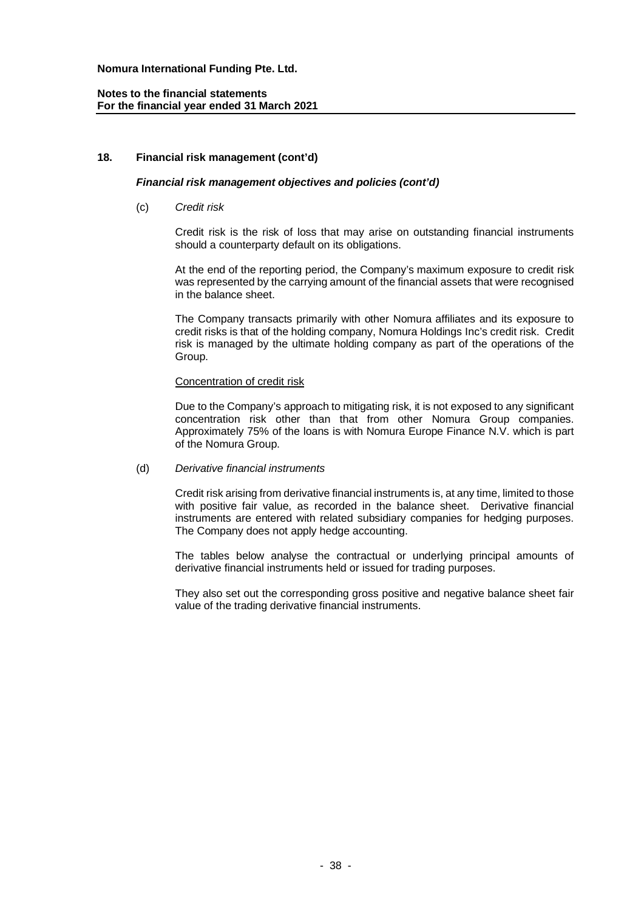# **18. Financial risk management (cont'd)**

# *Financial risk management objectives and policies (cont'd)*

(c) *Credit risk*

Credit risk is the risk of loss that may arise on outstanding financial instruments should a counterparty default on its obligations.

At the end of the reporting period, the Company's maximum exposure to credit risk was represented by the carrying amount of the financial assets that were recognised in the balance sheet.

The Company transacts primarily with other Nomura affiliates and its exposure to credit risks is that of the holding company, Nomura Holdings Inc's credit risk. Credit risk is managed by the ultimate holding company as part of the operations of the Group.

# Concentration of credit risk

Due to the Company's approach to mitigating risk, it is not exposed to any significant concentration risk other than that from other Nomura Group companies. Approximately 75% of the loans is with Nomura Europe Finance N.V. which is part of the Nomura Group.

### (d) *Derivative financial instruments*

Credit risk arising from derivative financial instruments is, at any time, limited to those with positive fair value, as recorded in the balance sheet. Derivative financial instruments are entered with related subsidiary companies for hedging purposes. The Company does not apply hedge accounting.

The tables below analyse the contractual or underlying principal amounts of derivative financial instruments held or issued for trading purposes.

They also set out the corresponding gross positive and negative balance sheet fair value of the trading derivative financial instruments.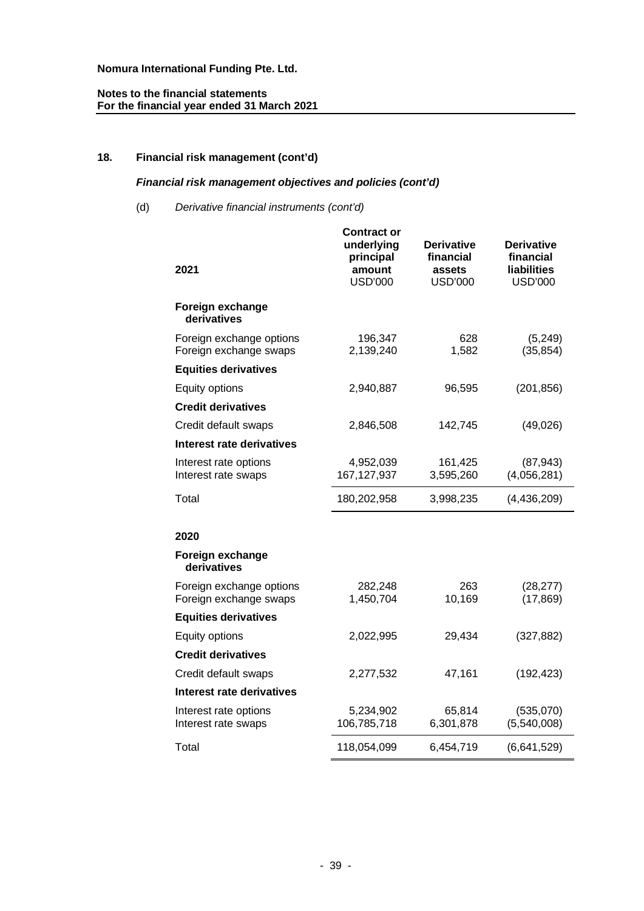# **Notes to the financial statements For the financial year ended 31 March 2021**

# **18. Financial risk management (cont'd)**

# *Financial risk management objectives and policies (cont'd)*

(d) *Derivative financial instruments (cont'd)*

| 2021                                               | <b>Contract or</b><br>underlying<br>principal<br>amount<br><b>USD'000</b> | <b>Derivative</b><br>financial<br>assets<br><b>USD'000</b> | <b>Derivative</b><br>financial<br>liabilities<br><b>USD'000</b> |  |
|----------------------------------------------------|---------------------------------------------------------------------------|------------------------------------------------------------|-----------------------------------------------------------------|--|
| Foreign exchange<br>derivatives                    |                                                                           |                                                            |                                                                 |  |
| Foreign exchange options<br>Foreign exchange swaps | 196,347<br>2,139,240                                                      | 628<br>1,582                                               | (5, 249)<br>(35, 854)                                           |  |
| <b>Equities derivatives</b>                        |                                                                           |                                                            |                                                                 |  |
| Equity options                                     | 2,940,887                                                                 | 96,595                                                     | (201, 856)                                                      |  |
| <b>Credit derivatives</b>                          |                                                                           |                                                            |                                                                 |  |
| Credit default swaps                               | 2,846,508                                                                 | 142,745                                                    | (49,026)                                                        |  |
| <b>Interest rate derivatives</b>                   |                                                                           |                                                            |                                                                 |  |
| Interest rate options<br>Interest rate swaps       | 4,952,039<br>167, 127, 937                                                | 161,425<br>3,595,260                                       | (87, 943)<br>(4,056,281)                                        |  |
| Total                                              | 180,202,958                                                               | 3,998,235                                                  | (4,436,209)                                                     |  |
| 2020                                               |                                                                           |                                                            |                                                                 |  |
| Foreign exchange<br>derivatives                    |                                                                           |                                                            |                                                                 |  |
| Foreign exchange options<br>Foreign exchange swaps | 282,248<br>1,450,704                                                      | 263<br>10,169                                              | (28, 277)<br>(17, 869)                                          |  |
| <b>Equities derivatives</b>                        |                                                                           |                                                            |                                                                 |  |
| Equity options                                     | 2,022,995                                                                 | 29,434                                                     | (327, 882)                                                      |  |
| <b>Credit derivatives</b>                          |                                                                           |                                                            |                                                                 |  |
| Credit default swaps                               | 2,277,532                                                                 | 47,161                                                     | (192, 423)                                                      |  |
| Interest rate derivatives                          |                                                                           |                                                            |                                                                 |  |
| Interest rate options<br>Interest rate swaps       | 5,234,902<br>106,785,718                                                  | 65,814<br>6,301,878                                        | (535,070)<br>(5,540,008)                                        |  |
| Total                                              | 118,054,099                                                               | 6,454,719                                                  | (6,641,529)                                                     |  |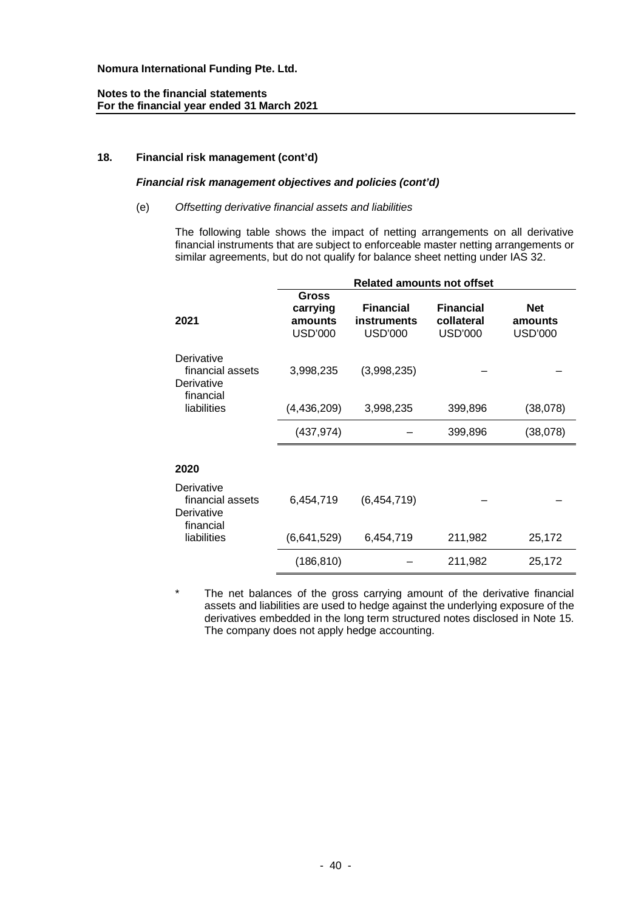# **18. Financial risk management (cont'd)**

# *Financial risk management objectives and policies (cont'd)*

# (e) *Offsetting derivative financial assets and liabilities*

The following table shows the impact of netting arrangements on all derivative financial instruments that are subject to enforceable master netting arrangements or similar agreements, but do not qualify for balance sheet netting under IAS 32.

|                                                           | <b>Related amounts not offset</b>                     |                                                   |                                                  |                                         |  |
|-----------------------------------------------------------|-------------------------------------------------------|---------------------------------------------------|--------------------------------------------------|-----------------------------------------|--|
| 2021                                                      | <b>Gross</b><br>carrying<br>amounts<br><b>USD'000</b> | <b>Financial</b><br>instruments<br><b>USD'000</b> | <b>Financial</b><br>collateral<br><b>USD'000</b> | <b>Net</b><br>amounts<br><b>USD'000</b> |  |
| Derivative<br>financial assets<br>Derivative<br>financial | 3,998,235                                             | (3,998,235)                                       |                                                  |                                         |  |
| liabilities                                               | (4,436,209)                                           | 3,998,235                                         | 399,896                                          | (38,078)                                |  |
|                                                           | (437, 974)                                            |                                                   | 399,896                                          | (38,078)                                |  |
| 2020                                                      |                                                       |                                                   |                                                  |                                         |  |
| Derivative<br>financial assets<br>Derivative<br>financial | 6,454,719                                             | (6,454,719)                                       |                                                  |                                         |  |
| liabilities                                               | (6,641,529)                                           | 6,454,719                                         | 211,982                                          | 25,172                                  |  |
|                                                           | (186, 810)                                            |                                                   | 211,982                                          | 25,172                                  |  |

\* The net balances of the gross carrying amount of the derivative financial assets and liabilities are used to hedge against the underlying exposure of the derivatives embedded in the long term structured notes disclosed in Note 15. The company does not apply hedge accounting.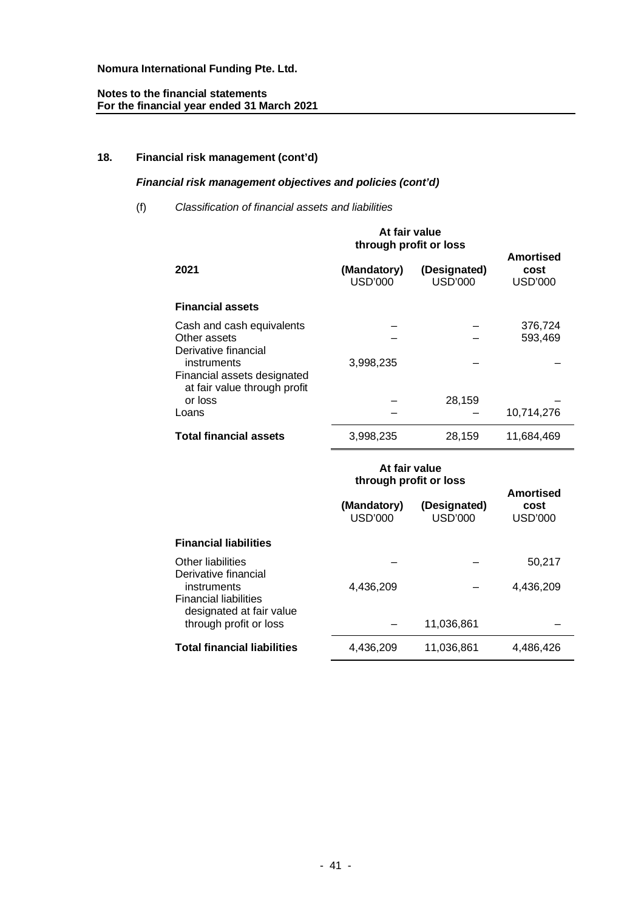# **Notes to the financial statements For the financial year ended 31 March 2021**

# **18. Financial risk management (cont'd)**

# *Financial risk management objectives and policies (cont'd)*

(f) *Classification of financial assets and liabilities*

|                                                                            | At fair value<br>through profit or loss | Amortised                      |                    |
|----------------------------------------------------------------------------|-----------------------------------------|--------------------------------|--------------------|
| 2021                                                                       | (Mandatory)<br><b>USD'000</b>           | (Designated)<br><b>USD'000</b> | cost<br>USD'000    |
| <b>Financial assets</b>                                                    |                                         |                                |                    |
| Cash and cash equivalents<br>Other assets<br>Derivative financial          |                                         |                                | 376,724<br>593,469 |
| instruments<br>Financial assets designated<br>at fair value through profit | 3,998,235                               |                                |                    |
| or loss                                                                    |                                         | 28,159                         |                    |
| Loans                                                                      |                                         |                                | 10.714.276         |
| <b>Total financial assets</b>                                              | 3,998,235                               | 28,159                         | 11,684,469         |

|                                                                                                 | At fair value<br>through profit or loss | Amortised               |                 |
|-------------------------------------------------------------------------------------------------|-----------------------------------------|-------------------------|-----------------|
|                                                                                                 | (Mandatory)<br>USD'000                  | (Designated)<br>USD'000 | cost<br>USD'000 |
| <b>Financial liabilities</b>                                                                    |                                         |                         |                 |
| Other liabilities                                                                               |                                         |                         | 50,217          |
| Derivative financial<br>instruments<br><b>Financial liabilities</b><br>designated at fair value | 4.436.209                               |                         | 4,436,209       |
| through profit or loss                                                                          |                                         | 11,036,861              |                 |
| <b>Total financial liabilities</b>                                                              | 4.436.209                               | 11.036.861              | 4.486.426       |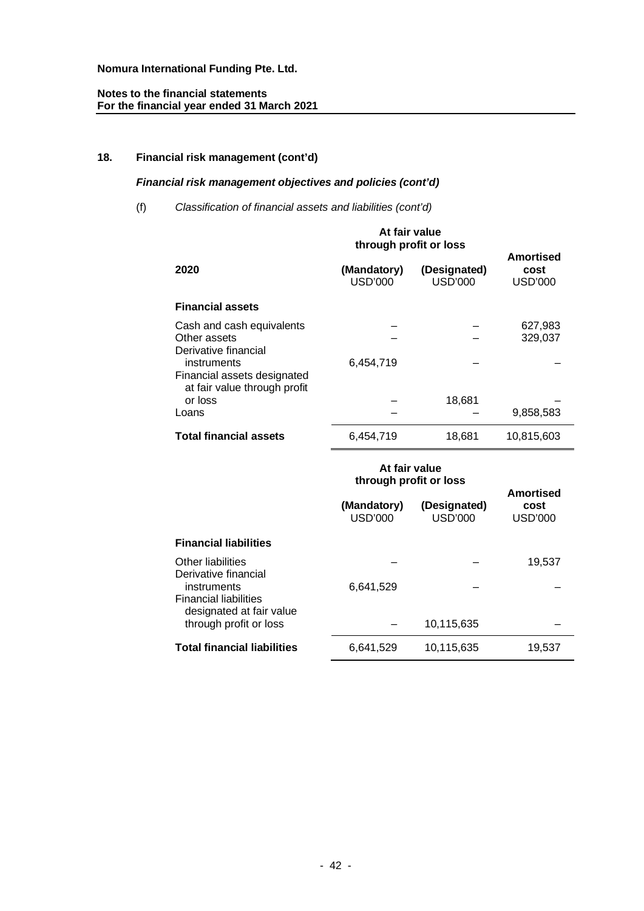# **18. Financial risk management (cont'd)**

# *Financial risk management objectives and policies (cont'd)*

(f) *Classification of financial assets and liabilities (cont'd)*

|                                                                            | At fair value<br>through profit or loss | Amortised                      |                    |
|----------------------------------------------------------------------------|-----------------------------------------|--------------------------------|--------------------|
| 2020                                                                       | (Mandatory)<br><b>USD'000</b>           | (Designated)<br><b>USD'000</b> | cost<br>USD'000    |
| <b>Financial assets</b>                                                    |                                         |                                |                    |
| Cash and cash equivalents<br>Other assets<br>Derivative financial          |                                         |                                | 627,983<br>329,037 |
| instruments<br>Financial assets designated<br>at fair value through profit | 6,454,719                               |                                |                    |
| or loss                                                                    |                                         | 18,681                         |                    |
| Loans                                                                      |                                         |                                | 9,858,583          |
| <b>Total financial assets</b>                                              | 6,454,719                               | 18,681                         | 10,815,603         |

|                                                                         |                        | At fair value<br>through profit or loss |                              |  |
|-------------------------------------------------------------------------|------------------------|-----------------------------------------|------------------------------|--|
|                                                                         | (Mandatory)<br>USD'000 | (Designated)<br><b>USD'000</b>          | Amortised<br>cost<br>USD'000 |  |
| <b>Financial liabilities</b>                                            |                        |                                         |                              |  |
| Other liabilities<br>Derivative financial                               |                        |                                         | 19,537                       |  |
| instruments<br><b>Financial liabilities</b><br>designated at fair value | 6,641,529              |                                         |                              |  |
| through profit or loss                                                  |                        | 10,115,635                              |                              |  |
| <b>Total financial liabilities</b>                                      | 6,641,529              | 10,115,635                              | 19,537                       |  |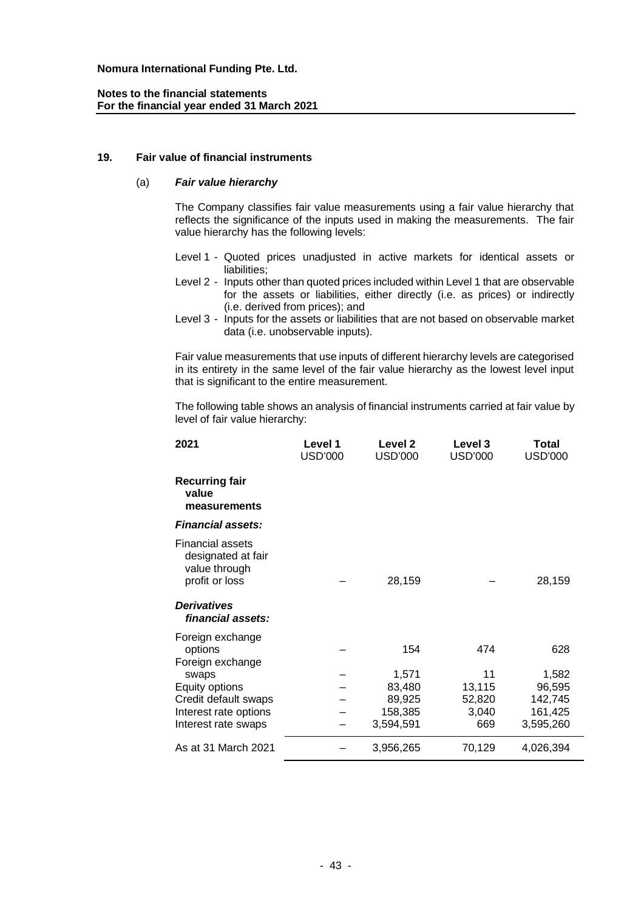### **19. Fair value of financial instruments**

# (a) *Fair value hierarchy*

The Company classifies fair value measurements using a fair value hierarchy that reflects the significance of the inputs used in making the measurements. The fair value hierarchy has the following levels:

- Level 1 Quoted prices unadjusted in active markets for identical assets or liabilities;
- Level 2 Inputs other than quoted prices included within Level 1 that are observable for the assets or liabilities, either directly (i.e. as prices) or indirectly (i.e. derived from prices); and
- Level 3 Inputs for the assets or liabilities that are not based on observable market data (i.e. unobservable inputs).

Fair value measurements that use inputs of different hierarchy levels are categorised in its entirety in the same level of the fair value hierarchy as the lowest level input that is significant to the entire measurement.

The following table shows an analysis of financial instruments carried at fair value by level of fair value hierarchy:

| 2021                                                                             | Level 1<br>USD'000 | Level 2<br><b>USD'000</b> | Level 3<br><b>USD'000</b> | Total<br><b>USD'000</b> |
|----------------------------------------------------------------------------------|--------------------|---------------------------|---------------------------|-------------------------|
| <b>Recurring fair</b><br>value<br>measurements                                   |                    |                           |                           |                         |
| <b>Financial assets:</b>                                                         |                    |                           |                           |                         |
| <b>Financial assets</b><br>designated at fair<br>value through<br>profit or loss |                    | 28,159                    |                           | 28,159                  |
| <b>Derivatives</b><br>financial assets:                                          |                    |                           |                           |                         |
| Foreign exchange<br>options<br>Foreign exchange                                  |                    | 154                       | 474                       | 628                     |
| swaps                                                                            |                    | 1,571                     | 11                        | 1,582                   |
| Equity options                                                                   |                    | 83,480                    | 13,115                    | 96,595                  |
| Credit default swaps                                                             |                    | 89,925                    | 52,820                    | 142,745                 |
| Interest rate options                                                            |                    | 158,385                   | 3,040                     | 161,425                 |
| Interest rate swaps                                                              |                    | 3,594,591                 | 669                       | 3,595,260               |
| As at 31 March 2021                                                              |                    | 3,956,265                 | 70,129                    | 4,026,394               |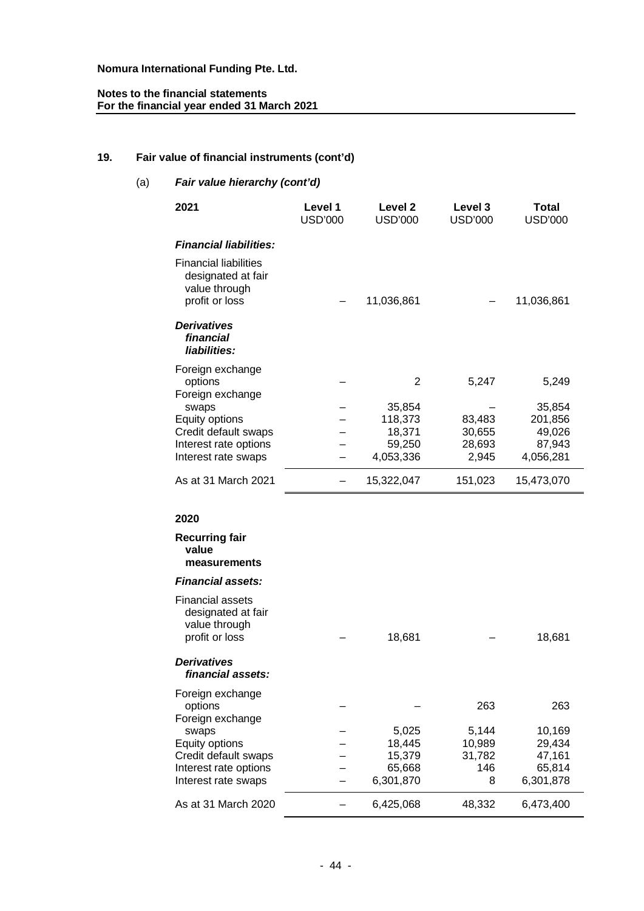# **19. Fair value of financial instruments (cont'd)**

| (a) | Fair value hierarchy (cont'd)                                                                      |                    |                                  |                           |                                      |
|-----|----------------------------------------------------------------------------------------------------|--------------------|----------------------------------|---------------------------|--------------------------------------|
|     | 2021                                                                                               | Level 1<br>USD'000 | Level 2<br>USD'000               | Level 3<br><b>USD'000</b> | Total<br>USD'000                     |
|     | <b>Financial liabilities:</b>                                                                      |                    |                                  |                           |                                      |
|     | <b>Financial liabilities</b><br>designated at fair<br>value through<br>profit or loss              |                    | 11,036,861                       |                           | 11,036,861                           |
|     | <b>Derivatives</b><br>financial<br>liabilities:                                                    |                    |                                  |                           |                                      |
|     | Foreign exchange<br>options<br>Foreign exchange<br>swaps<br>Equity options<br>Credit default swaps |                    | 2<br>35,854<br>118,373<br>18,371 | 5,247<br>83,483<br>30,655 | 5,249<br>35,854<br>201,856<br>49,026 |
|     | Interest rate options<br>Interest rate swaps                                                       |                    | 59,250<br>4,053,336              | 28,693<br>2,945           | 87,943<br>4,056,281                  |
|     | As at 31 March 2021                                                                                |                    | 15,322,047                       | 151,023                   | 15,473,070                           |

# **2020**

| LULU                                                                      |           |        |           |
|---------------------------------------------------------------------------|-----------|--------|-----------|
| <b>Recurring fair</b><br>value<br>measurements                            |           |        |           |
| <b>Financial assets:</b>                                                  |           |        |           |
| Financial assets<br>designated at fair<br>value through<br>profit or loss | 18,681    |        | 18,681    |
| <b>Derivatives</b><br>financial assets:                                   |           |        |           |
| Foreign exchange<br>options<br>Foreign exchange                           |           | 263    | 263       |
| swaps                                                                     | 5,025     | 5,144  | 10,169    |
| Equity options                                                            | 18,445    | 10,989 | 29,434    |
| Credit default swaps                                                      | 15,379    | 31,782 | 47,161    |
| Interest rate options                                                     | 65,668    | 146    | 65,814    |
| Interest rate swaps                                                       | 6,301,870 | 8      | 6,301,878 |
| As at 31 March 2020                                                       | 6,425,068 | 48,332 | 6,473,400 |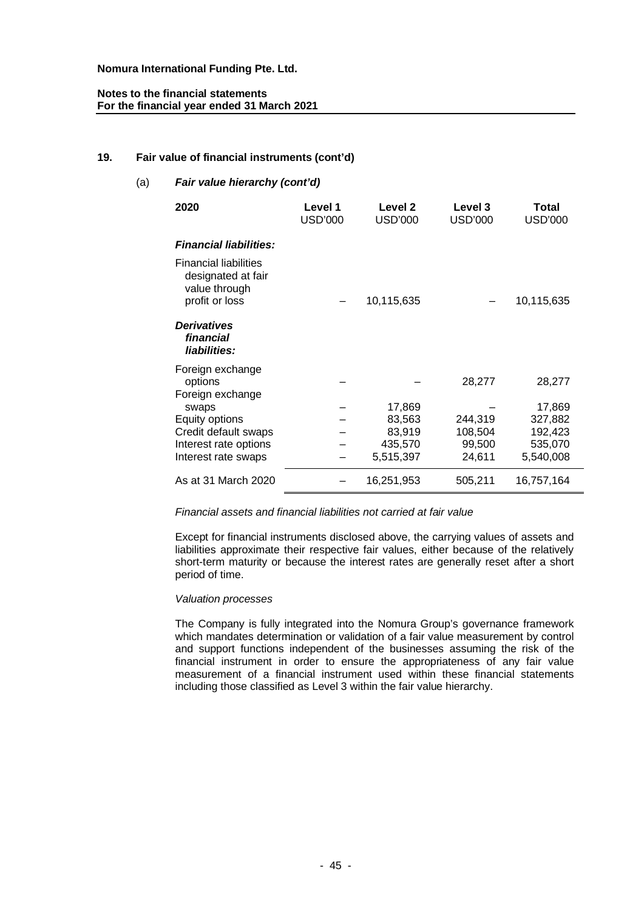# **19. Fair value of financial instruments (cont'd)**

| (a) |                                                                                       | Fair value hierarchy (cont'd) |                    |                           |                         |  |  |  |  |
|-----|---------------------------------------------------------------------------------------|-------------------------------|--------------------|---------------------------|-------------------------|--|--|--|--|
|     | 2020                                                                                  | Level 1<br><b>USD'000</b>     | Level 2<br>USD'000 | Level 3<br><b>USD'000</b> | Total<br><b>USD'000</b> |  |  |  |  |
|     | <b>Financial liabilities:</b>                                                         |                               |                    |                           |                         |  |  |  |  |
|     | <b>Financial liabilities</b><br>designated at fair<br>value through<br>profit or loss |                               | 10,115,635         |                           | 10,115,635              |  |  |  |  |
|     | <b>Derivatives</b><br>financial<br>liabilities:                                       |                               |                    |                           |                         |  |  |  |  |
|     | Foreign exchange<br>options<br>Foreign exchange                                       |                               |                    | 28,277                    | 28,277                  |  |  |  |  |
|     | swaps                                                                                 |                               | 17,869             |                           | 17,869                  |  |  |  |  |
|     | Equity options                                                                        |                               | 83,563             | 244,319                   | 327,882                 |  |  |  |  |
|     | Credit default swaps                                                                  |                               | 83,919             | 108,504                   | 192,423                 |  |  |  |  |
|     | Interest rate options                                                                 |                               | 435,570            | 99,500                    | 535,070                 |  |  |  |  |
|     | Interest rate swaps                                                                   |                               | 5,515,397          | 24,611                    | 5,540,008               |  |  |  |  |
|     | As at 31 March 2020                                                                   |                               | 16,251,953         | 505,211                   | 16,757,164              |  |  |  |  |

# *Financial assets and financial liabilities not carried at fair value*

Except for financial instruments disclosed above, the carrying values of assets and liabilities approximate their respective fair values, either because of the relatively short-term maturity or because the interest rates are generally reset after a short period of time.

### *Valuation processes*

The Company is fully integrated into the Nomura Group's governance framework which mandates determination or validation of a fair value measurement by control and support functions independent of the businesses assuming the risk of the financial instrument in order to ensure the appropriateness of any fair value measurement of a financial instrument used within these financial statements including those classified as Level 3 within the fair value hierarchy.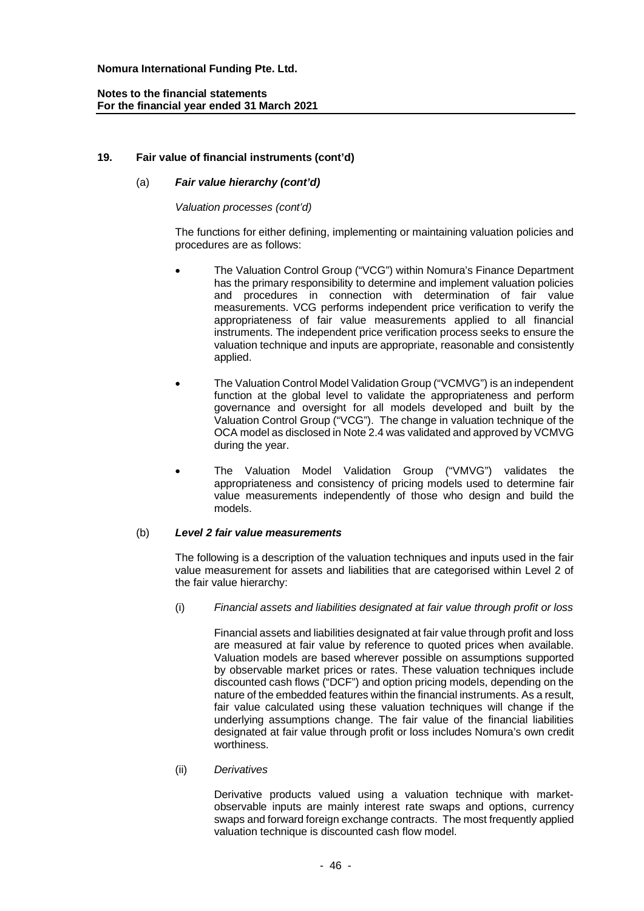# **19. Fair value of financial instruments (cont'd)**

### (a) *Fair value hierarchy (cont'd)*

### *Valuation processes (cont'd)*

The functions for either defining, implementing or maintaining valuation policies and procedures are as follows:

- · The Valuation Control Group ("VCG") within Nomura's Finance Department has the primary responsibility to determine and implement valuation policies and procedures in connection with determination of fair value measurements. VCG performs independent price verification to verify the appropriateness of fair value measurements applied to all financial instruments. The independent price verification process seeks to ensure the valuation technique and inputs are appropriate, reasonable and consistently applied.
- The Valuation Control Model Validation Group ("VCMVG") is an independent function at the global level to validate the appropriateness and perform governance and oversight for all models developed and built by the Valuation Control Group ("VCG"). The change in valuation technique of the OCA model as disclosed in Note 2.4 was validated and approved by VCMVG during the year.
- · The Valuation Model Validation Group ("VMVG") validates the appropriateness and consistency of pricing models used to determine fair value measurements independently of those who design and build the models.

### (b) *Level 2 fair value measurements*

The following is a description of the valuation techniques and inputs used in the fair value measurement for assets and liabilities that are categorised within Level 2 of the fair value hierarchy:

(i) *Financial assets and liabilities designated at fair value through profit or loss*

Financial assets and liabilities designated at fair value through profit and loss are measured at fair value by reference to quoted prices when available. Valuation models are based wherever possible on assumptions supported by observable market prices or rates. These valuation techniques include discounted cash flows ("DCF") and option pricing models, depending on the nature of the embedded features within the financial instruments. As a result, fair value calculated using these valuation techniques will change if the underlying assumptions change. The fair value of the financial liabilities designated at fair value through profit or loss includes Nomura's own credit worthiness.

(ii) *Derivatives*

Derivative products valued using a valuation technique with marketobservable inputs are mainly interest rate swaps and options, currency swaps and forward foreign exchange contracts. The most frequently applied valuation technique is discounted cash flow model.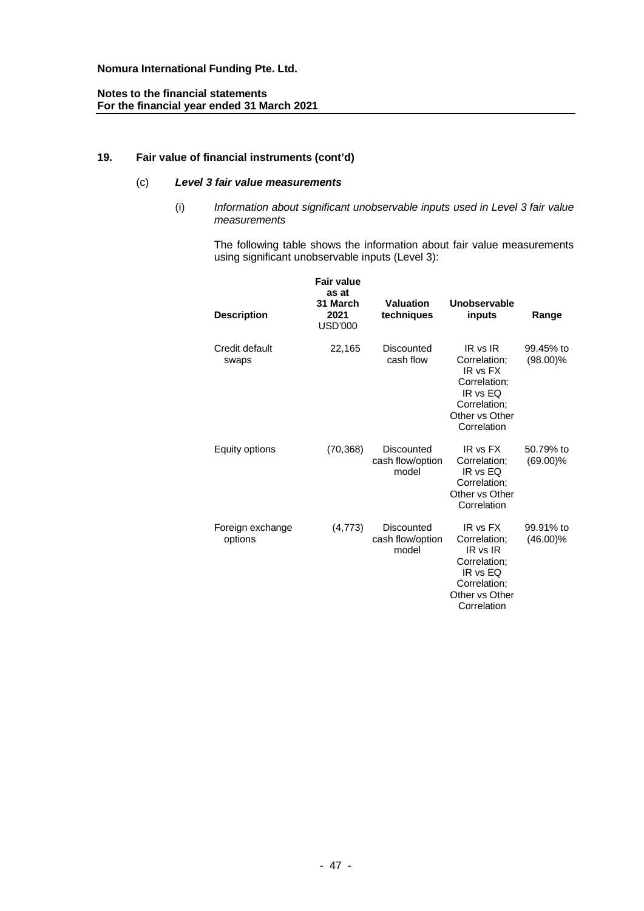# **19. Fair value of financial instruments (cont'd)**

# (c) *Level 3 fair value measurements*

(i) *Information about significant unobservable inputs used in Level 3 fair value measurements*

The following table shows the information about fair value measurements using significant unobservable inputs (Level 3):

| <b>Description</b>          | <b>Fair value</b><br>as at<br>31 March<br>2021<br><b>USD'000</b> | Valuation<br>techniques                 | Unobservable<br>inputs                                                                                            | Range                    |
|-----------------------------|------------------------------------------------------------------|-----------------------------------------|-------------------------------------------------------------------------------------------------------------------|--------------------------|
| Credit default<br>swaps     | 22,165                                                           | Discounted<br>cash flow                 | IR vs IR<br>Correlation;<br>IR vs FX<br>Correlation;<br>IR vs EQ<br>Correlation;<br>Other vs Other<br>Correlation | 99.45% to<br>$(98.00)\%$ |
| Equity options              | (70, 368)                                                        | Discounted<br>cash flow/option<br>model | IR vs FX<br>Correlation;<br>IR vs EQ<br>Correlation;<br>Other vs Other<br>Correlation                             | 50.79% to<br>$(69.00)\%$ |
| Foreign exchange<br>options | (4,773)                                                          | Discounted<br>cash flow/option<br>model | IR vs FX<br>Correlation;<br>IR vs IR<br>Correlation;<br>IR vs EQ<br>Correlation;<br>Other vs Other<br>Correlation | 99.91% to<br>$(46.00)\%$ |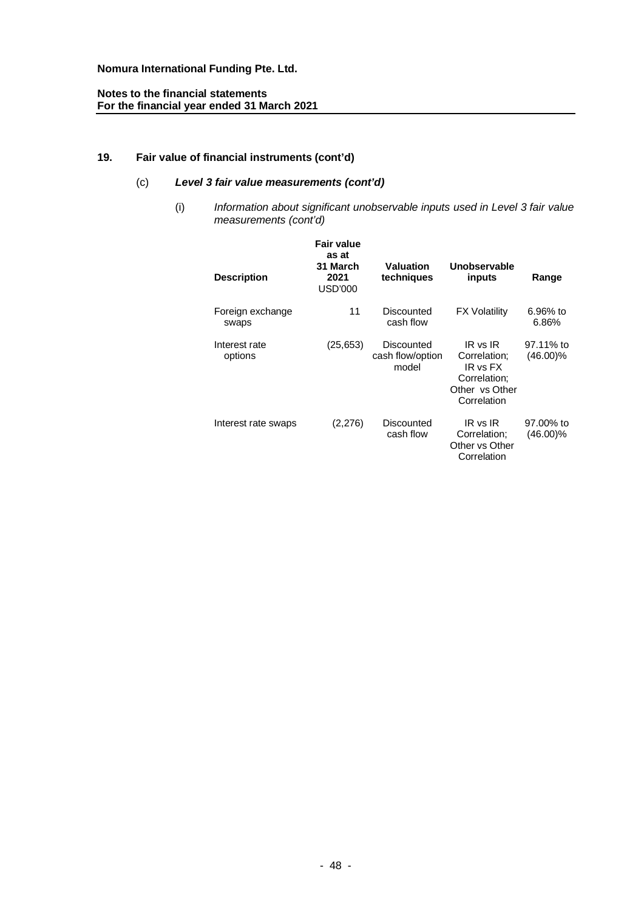# **19. Fair value of financial instruments (cont'd)**

# (c) *Level 3 fair value measurements (cont'd)*

(i) *Information about significant unobservable inputs used in Level 3 fair value measurements (cont'd)*

| <b>Description</b>        | Fair value<br>as at<br>31 March<br>2021<br>USD'000 | Valuation<br>techniques                 | Unobservable<br>inputs                                                                | Range                    |
|---------------------------|----------------------------------------------------|-----------------------------------------|---------------------------------------------------------------------------------------|--------------------------|
| Foreign exchange<br>swaps | 11                                                 | Discounted<br>cash flow                 | <b>FX Volatility</b>                                                                  | $6.96%$ to<br>6.86%      |
| Interest rate<br>options  | (25, 653)                                          | Discounted<br>cash flow/option<br>model | IR vs IR<br>Correlation;<br>IR vs FX<br>Correlation;<br>Other vs Other<br>Correlation | 97.11% to<br>$(46.00)\%$ |
| Interest rate swaps       | (2,276)                                            | Discounted<br>cash flow                 | IR vs IR<br>Correlation;<br>Other vs Other<br>Correlation                             | 97.00% to<br>$(46.00)\%$ |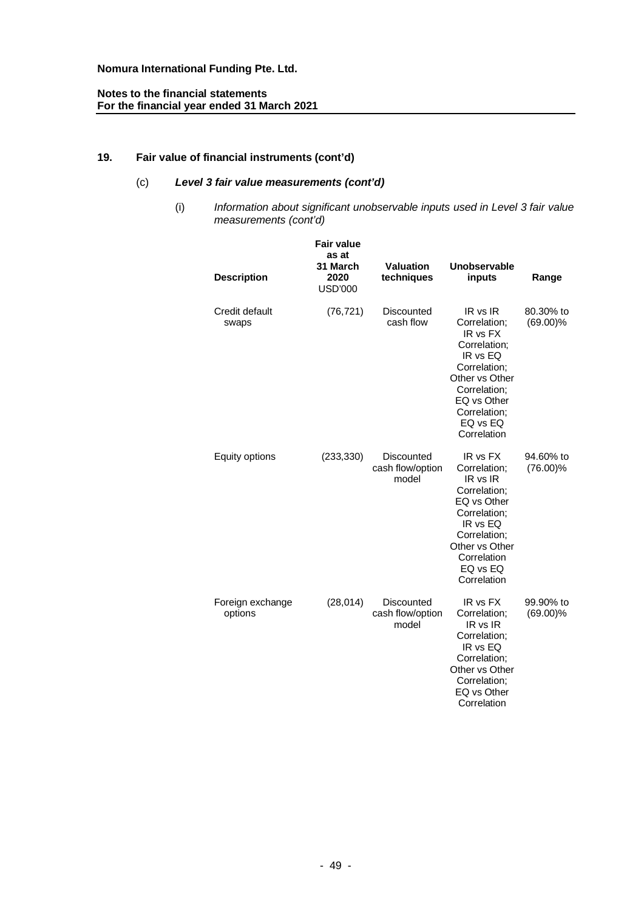# **19. Fair value of financial instruments (cont'd)**

# (c) *Level 3 fair value measurements (cont'd)*

(i) *Information about significant unobservable inputs used in Level 3 fair value measurements (cont'd)*

| <b>Description</b>          | <b>Fair value</b><br>as at<br>31 March<br>2020<br><b>USD'000</b> | <b>Valuation</b><br>techniques          | Unobservable<br>inputs                                                                                                                                                       | Range                    |
|-----------------------------|------------------------------------------------------------------|-----------------------------------------|------------------------------------------------------------------------------------------------------------------------------------------------------------------------------|--------------------------|
| Credit default<br>swaps     | (76, 721)                                                        | Discounted<br>cash flow                 | IR vs IR<br>Correlation;<br>IR vs FX<br>Correlation;<br>IR vs EQ<br>Correlation;<br>Other vs Other<br>Correlation;<br>EQ vs Other<br>Correlation;<br>EQ vs EQ<br>Correlation | 80.30% to<br>$(69.00)\%$ |
| Equity options              | (233, 330)                                                       | Discounted<br>cash flow/option<br>model | IR vs FX<br>Correlation;<br>IR vs IR<br>Correlation;<br>EQ vs Other<br>Correlation;<br>IR vs EQ<br>Correlation;<br>Other vs Other<br>Correlation<br>EQ vs EQ<br>Correlation  | 94.60% to<br>$(76.00)\%$ |
| Foreign exchange<br>options | (28, 014)                                                        | Discounted<br>cash flow/option<br>model | IR vs FX<br>Correlation;<br>IR vs IR<br>Correlation;<br>IR vs EQ<br>Correlation:<br>Other vs Other<br>Correlation:<br>EQ vs Other<br>Correlation                             | 99.90% to<br>$(69.00)\%$ |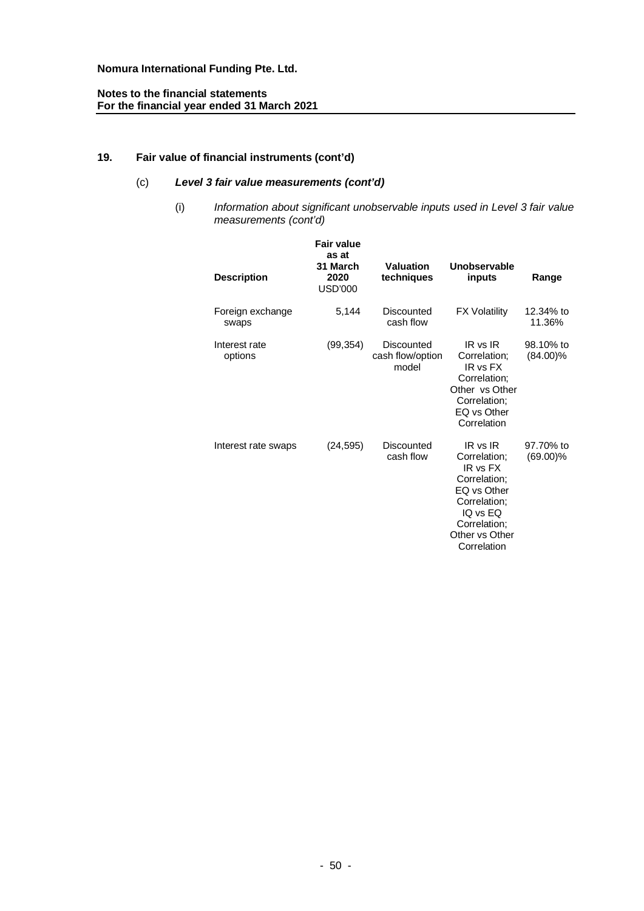# **19. Fair value of financial instruments (cont'd)**

# (c) *Level 3 fair value measurements (cont'd)*

(i) *Information about significant unobservable inputs used in Level 3 fair value measurements (cont'd)*

| <b>Description</b>        | <b>Fair value</b><br>as at<br>31 March<br>2020<br>USD'000 | Valuation<br>techniques                 | Unobservable<br>inputs                                                                                                                           | Range                    |
|---------------------------|-----------------------------------------------------------|-----------------------------------------|--------------------------------------------------------------------------------------------------------------------------------------------------|--------------------------|
| Foreign exchange<br>swaps | 5,144                                                     | Discounted<br>cash flow                 | <b>FX Volatility</b>                                                                                                                             | 12.34% to<br>11.36%      |
| Interest rate<br>options  | (99, 354)                                                 | Discounted<br>cash flow/option<br>model | IR vs IR<br>Correlation;<br>IR vs FX<br>Correlation;<br>Other vs Other<br>Correlation:<br>EQ vs Other<br>Correlation                             | 98.10% to<br>$(84.00)\%$ |
| Interest rate swaps       | (24, 595)                                                 | Discounted<br>cash flow                 | IR vs IR<br>Correlation;<br>IR vs FX<br>Correlation;<br>EQ vs Other<br>Correlation;<br>IQ vs EQ<br>Correlation;<br>Other vs Other<br>Correlation | 97.70% to<br>$(69.00)\%$ |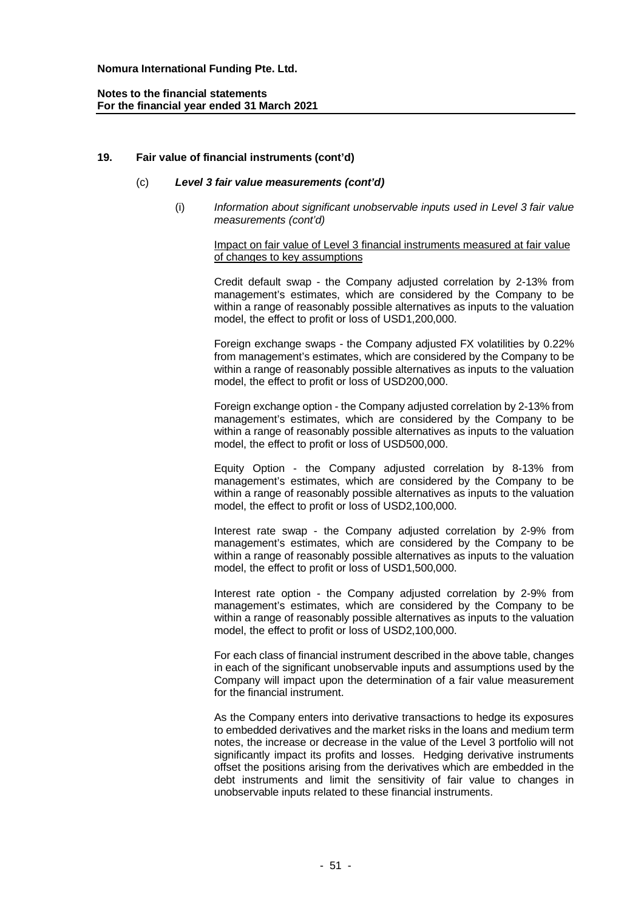# **19. Fair value of financial instruments (cont'd)**

### (c) *Level 3 fair value measurements (cont'd)*

(i) *Information about significant unobservable inputs used in Level 3 fair value measurements (cont'd)*

Impact on fair value of Level 3 financial instruments measured at fair value of changes to key assumptions

Credit default swap - the Company adjusted correlation by 2-13% from management's estimates, which are considered by the Company to be within a range of reasonably possible alternatives as inputs to the valuation model, the effect to profit or loss of USD1,200,000.

Foreign exchange swaps - the Company adjusted FX volatilities by 0.22% from management's estimates, which are considered by the Company to be within a range of reasonably possible alternatives as inputs to the valuation model, the effect to profit or loss of USD200,000.

Foreign exchange option - the Company adjusted correlation by 2-13% from management's estimates, which are considered by the Company to be within a range of reasonably possible alternatives as inputs to the valuation model, the effect to profit or loss of USD500,000.

Equity Option - the Company adjusted correlation by 8-13% from management's estimates, which are considered by the Company to be within a range of reasonably possible alternatives as inputs to the valuation model, the effect to profit or loss of USD2,100,000.

Interest rate swap - the Company adjusted correlation by 2-9% from management's estimates, which are considered by the Company to be within a range of reasonably possible alternatives as inputs to the valuation model, the effect to profit or loss of USD1,500,000.

Interest rate option - the Company adjusted correlation by 2-9% from management's estimates, which are considered by the Company to be within a range of reasonably possible alternatives as inputs to the valuation model, the effect to profit or loss of USD2,100,000.

For each class of financial instrument described in the above table, changes in each of the significant unobservable inputs and assumptions used by the Company will impact upon the determination of a fair value measurement for the financial instrument.

As the Company enters into derivative transactions to hedge its exposures to embedded derivatives and the market risks in the loans and medium term notes, the increase or decrease in the value of the Level 3 portfolio will not significantly impact its profits and losses. Hedging derivative instruments offset the positions arising from the derivatives which are embedded in the debt instruments and limit the sensitivity of fair value to changes in unobservable inputs related to these financial instruments.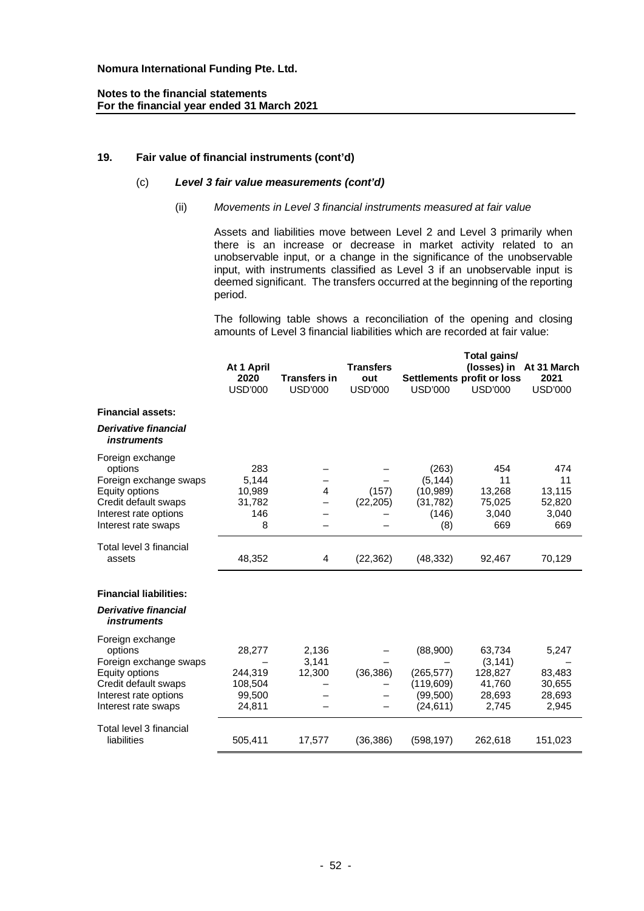# **19. Fair value of financial instruments (cont'd)**

# (c) *Level 3 fair value measurements (cont'd)*

# (ii) *Movements in Level 3 financial instruments measured at fair value*

Assets and liabilities move between Level 2 and Level 3 primarily when there is an increase or decrease in market activity related to an unobservable input, or a change in the significance of the unobservable input, with instruments classified as Level 3 if an unobservable input is deemed significant. The transfers occurred at the beginning of the reporting period.

The following table shows a reconciliation of the opening and closing amounts of Level 3 financial liabilities which are recorded at fair value:

|                                                   |                |                     |                  |                | Total gains/               |             |
|---------------------------------------------------|----------------|---------------------|------------------|----------------|----------------------------|-------------|
|                                                   | At 1 April     |                     | <b>Transfers</b> |                | (losses) in                | At 31 March |
|                                                   | 2020           | <b>Transfers in</b> | out              |                | Settlements profit or loss | 2021        |
|                                                   | <b>USD'000</b> | <b>USD'000</b>      | <b>USD'000</b>   | <b>USD'000</b> | <b>USD'000</b>             | USD'000     |
| <b>Financial assets:</b>                          |                |                     |                  |                |                            |             |
| <b>Derivative financial</b><br><i>instruments</i> |                |                     |                  |                |                            |             |
| Foreign exchange                                  |                |                     |                  |                |                            |             |
| options                                           | 283            |                     |                  | (263)          | 454                        | 474         |
| Foreign exchange swaps                            | 5,144          |                     |                  | (5, 144)       | 11                         | 11          |
| Equity options                                    | 10,989         | 4                   | (157)            | (10, 989)      | 13,268                     | 13,115      |
| Credit default swaps                              | 31,782         |                     | (22, 205)        | (31, 782)      | 75,025                     | 52,820      |
| Interest rate options                             | 146            |                     |                  | (146)          | 3,040                      | 3,040       |
| Interest rate swaps                               | 8              |                     |                  | (8)            | 669                        | 669         |
| Total level 3 financial                           |                |                     |                  |                |                            |             |
| assets                                            | 48,352         | 4                   | (22, 362)        | (48, 332)      | 92,467                     | 70,129      |
|                                                   |                |                     |                  |                |                            |             |
| <b>Financial liabilities:</b>                     |                |                     |                  |                |                            |             |
| <b>Derivative financial</b><br><i>instruments</i> |                |                     |                  |                |                            |             |
| Foreign exchange                                  |                |                     |                  |                |                            |             |
| options                                           | 28,277         | 2,136               |                  | (88,900)       | 63,734                     | 5,247       |
| Foreign exchange swaps                            |                | 3,141               |                  |                | (3, 141)                   |             |
| Equity options                                    | 244,319        | 12,300              | (36, 386)        | (265, 577)     | 128,827                    | 83,483      |
| Credit default swaps                              | 108,504        |                     |                  | (119,609)      | 41,760                     | 30,655      |
| Interest rate options                             | 99,500         |                     |                  | (99, 500)      | 28,693                     | 28,693      |
| Interest rate swaps                               | 24,811         |                     |                  | (24, 611)      | 2,745                      | 2,945       |
| Total level 3 financial                           |                |                     |                  |                |                            |             |
| liabilities                                       | 505,411        | 17,577              | (36, 386)        | (598, 197)     | 262,618                    | 151,023     |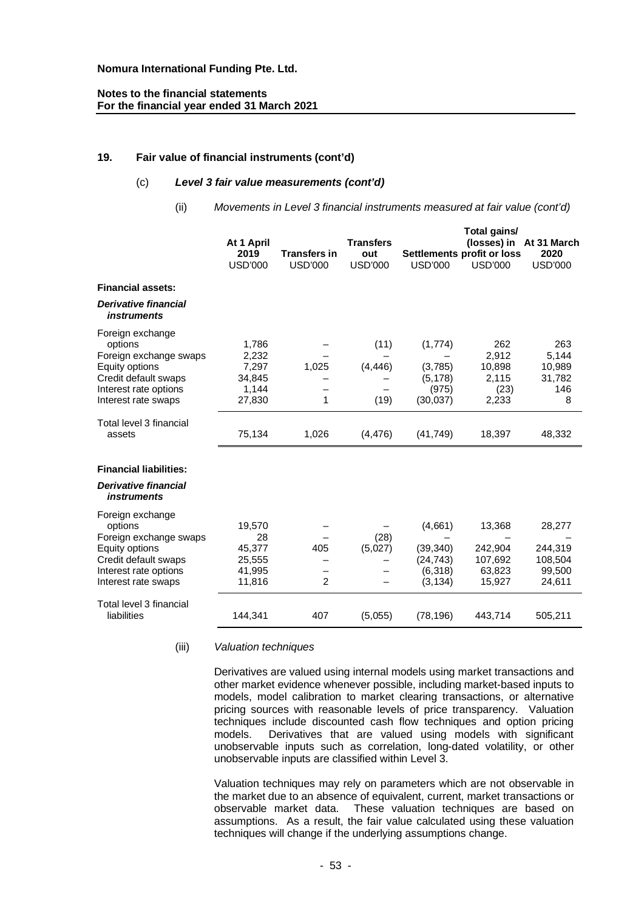# **19. Fair value of financial instruments (cont'd)**

# (c) *Level 3 fair value measurements (cont'd)*

(ii) *Movements in Level 3 financial instruments measured at fair value (cont'd)*

|                                                                                                                                                 | At 1 April<br>2019<br><b>USD'000</b>                 | <b>Transfers in</b><br><b>USD'000</b> | <b>Transfers</b><br>out<br><b>USD'000</b> | <b>USD'000</b>                                            | Total gains/<br>Settlements profit or loss<br><b>USD'000</b> | (losses) in At 31 March<br>2020<br><b>USD'000</b> |
|-------------------------------------------------------------------------------------------------------------------------------------------------|------------------------------------------------------|---------------------------------------|-------------------------------------------|-----------------------------------------------------------|--------------------------------------------------------------|---------------------------------------------------|
| <b>Financial assets:</b>                                                                                                                        |                                                      |                                       |                                           |                                                           |                                                              |                                                   |
| <b>Derivative financial</b><br><i>instruments</i>                                                                                               |                                                      |                                       |                                           |                                                           |                                                              |                                                   |
| Foreign exchange<br>options<br>Foreign exchange swaps<br>Equity options<br>Credit default swaps<br>Interest rate options<br>Interest rate swaps | 1,786<br>2,232<br>7,297<br>34,845<br>1,144<br>27,830 | 1,025<br>1                            | (11)<br>(4, 446)<br>(19)                  | (1,774)<br>(3,785)<br>(5, 178)<br>(975)<br>(30,037)       | 262<br>2,912<br>10,898<br>2,115<br>(23)<br>2,233             | 263<br>5,144<br>10,989<br>31,782<br>146<br>8      |
| Total level 3 financial<br>assets                                                                                                               | 75,134                                               | 1,026                                 | (4, 476)                                  | (41, 749)                                                 | 18,397                                                       | 48,332                                            |
| <b>Financial liabilities:</b>                                                                                                                   |                                                      |                                       |                                           |                                                           |                                                              |                                                   |
| <b>Derivative financial</b><br><i>instruments</i>                                                                                               |                                                      |                                       |                                           |                                                           |                                                              |                                                   |
| Foreign exchange<br>options<br>Foreign exchange swaps<br>Equity options<br>Credit default swaps<br>Interest rate options<br>Interest rate swaps | 19,570<br>28<br>45,377<br>25,555<br>41,995<br>11,816 | 405<br>2                              | (28)<br>(5,027)                           | (4,661)<br>(39, 340)<br>(24, 743)<br>(6, 318)<br>(3, 134) | 13,368<br>242.904<br>107,692<br>63,823<br>15,927             | 28,277<br>244.319<br>108,504<br>99,500<br>24,611  |
| Total level 3 financial<br>liabilities                                                                                                          | 144,341                                              | 407                                   | (5,055)                                   | (78, 196)                                                 | 443,714                                                      | 505,211                                           |

(iii) *Valuation techniques*

Derivatives are valued using internal models using market transactions and other market evidence whenever possible, including market-based inputs to models, model calibration to market clearing transactions, or alternative pricing sources with reasonable levels of price transparency. Valuation techniques include discounted cash flow techniques and option pricing models. Derivatives that are valued using models with significant unobservable inputs such as correlation, long-dated volatility, or other unobservable inputs are classified within Level 3.

Valuation techniques may rely on parameters which are not observable in the market due to an absence of equivalent, current, market transactions or observable market data. These valuation techniques are based on assumptions. As a result, the fair value calculated using these valuation techniques will change if the underlying assumptions change.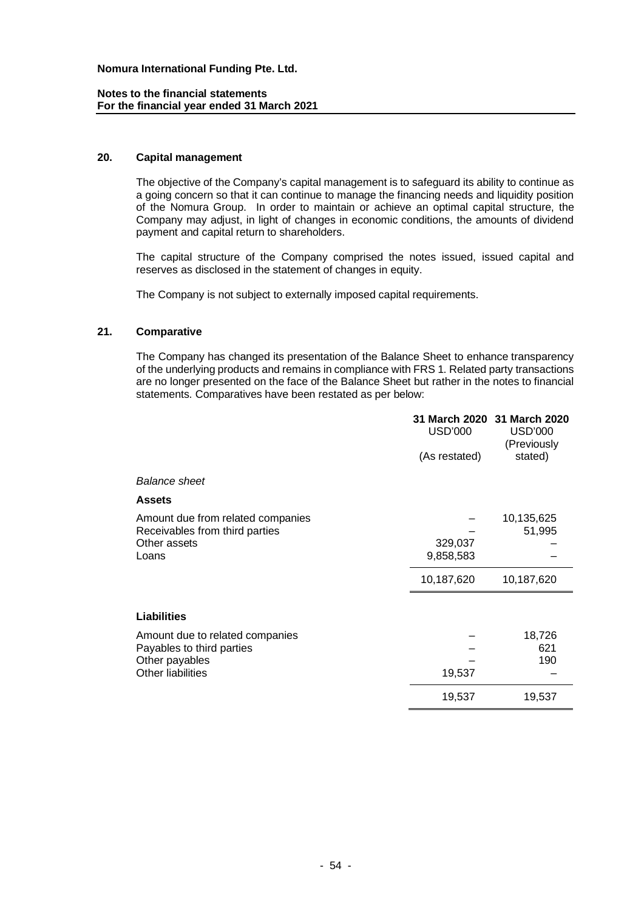# **20. Capital management**

The objective of the Company's capital management is to safeguard its ability to continue as a going concern so that it can continue to manage the financing needs and liquidity position of the Nomura Group. In order to maintain or achieve an optimal capital structure, the Company may adjust, in light of changes in economic conditions, the amounts of dividend payment and capital return to shareholders.

The capital structure of the Company comprised the notes issued, issued capital and reserves as disclosed in the statement of changes in equity.

The Company is not subject to externally imposed capital requirements.

# **21. Comparative**

The Company has changed its presentation of the Balance Sheet to enhance transparency of the underlying products and remains in compliance with FRS 1. Related party transactions are no longer presented on the face of the Balance Sheet but rather in the notes to financial statements. Comparatives have been restated as per below:

|                                                                     | 31 March 2020<br><b>USD'000</b> | 31 March 2020<br><b>USD'000</b><br>(Previously |
|---------------------------------------------------------------------|---------------------------------|------------------------------------------------|
|                                                                     | (As restated)                   | stated)                                        |
| <b>Balance sheet</b>                                                |                                 |                                                |
| <b>Assets</b>                                                       |                                 |                                                |
| Amount due from related companies<br>Receivables from third parties |                                 | 10,135,625<br>51,995                           |
| Other assets<br>Loans                                               | 329,037<br>9,858,583            |                                                |
|                                                                     | 10,187,620                      | 10,187,620                                     |
| <b>Liabilities</b>                                                  |                                 |                                                |
| Amount due to related companies                                     |                                 | 18,726                                         |
| Payables to third parties<br>Other payables                         |                                 | 621<br>190                                     |
| Other liabilities                                                   | 19,537                          |                                                |
|                                                                     | 19,537                          | 19,537                                         |